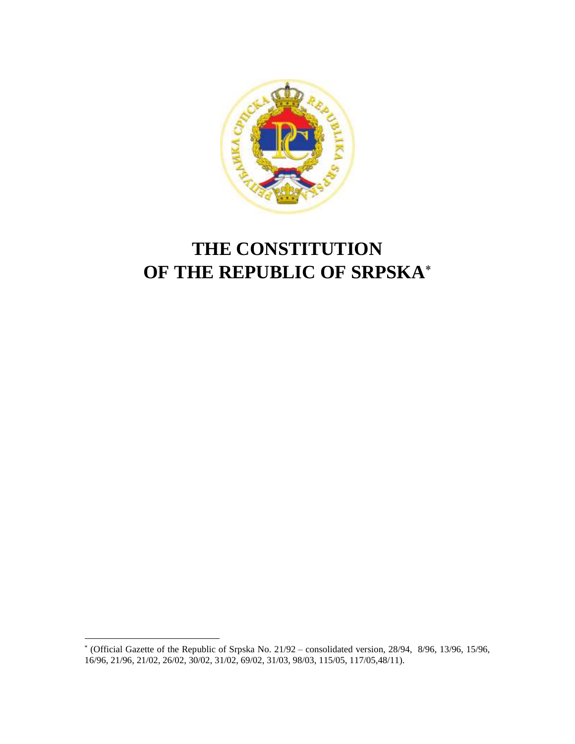

# **THE CONSTITUTION OF THE REPUBLIC OF SRPSKA**

 \* (Official Gazette of the Republic of Srpska No. 21/92 – consolidated version, 28/94, 8/96, 13/96, 15/96, 16/96, 21/96, 21/02, 26/02, 30/02, 31/02, 69/02, 31/03, 98/03, 115/05, 117/05,48/11).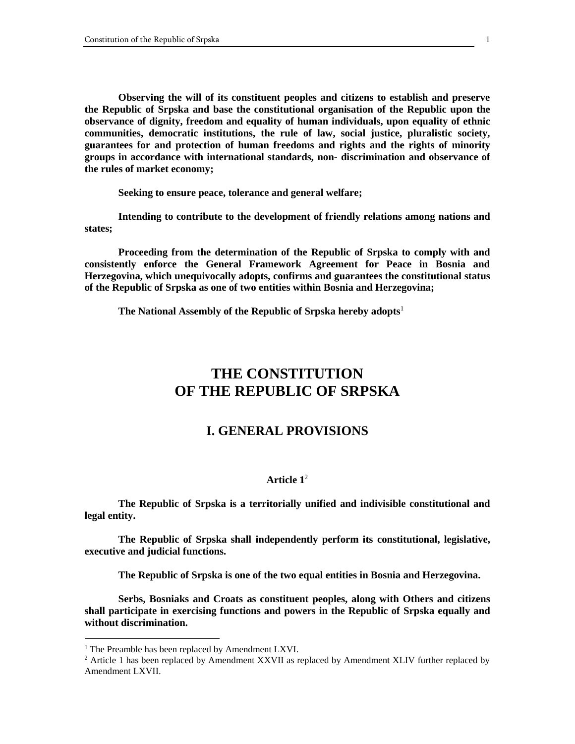**Observing the will of its constituent peoples and citizens to establish and preserve the Republic of Srpska and base the constitutional organisation of the Republic upon the observance of dignity, freedom and equality of human individuals, upon equality of ethnic communities, democratic institutions, the rule of law, social justice, pluralistic society, guarantees for and protection of human freedoms and rights and the rights of minority groups in accordance with international standards, non- discrimination and observance of the rules of market economy;**

**Seeking to ensure peace, tolerance and general welfare;**

**Intending to contribute to the development of friendly relations among nations and states;**

**Proceeding from the determination of the Republic of Srpska to comply with and consistently enforce the General Framework Agreement for Peace in Bosnia and Herzegovina, which unequivocally adopts, confirms and guarantees the constitutional status of the Republic of Srpska as one of two entities within Bosnia and Herzegovina;**

**The National Assembly of the Republic of Srpska hereby adopts**<sup>1</sup>

# **THE CONSTITUTION OF THE REPUBLIC OF SRPSKA**

# **I. GENERAL PROVISIONS**

# **Article 1**<sup>2</sup>

**The Republic of Srpska is a territorially unified and indivisible constitutional and legal entity.**

**The Republic of Srpska shall independently perform its constitutional, legislative, executive and judicial functions.**

**The Republic of Srpska is one of the two equal entities in Bosnia and Herzegovina.**

**Serbs, Bosniaks and Croats as constituent peoples, along with Others and citizens shall participate in exercising functions and powers in the Republic of Srpska equally and without discrimination.**

<sup>&</sup>lt;sup>1</sup> The Preamble has been replaced by Amendment LXVI.

 $2$  Article 1 has been replaced by Amendment XXVII as replaced by Amendment XLIV further replaced by Amendment LXVII.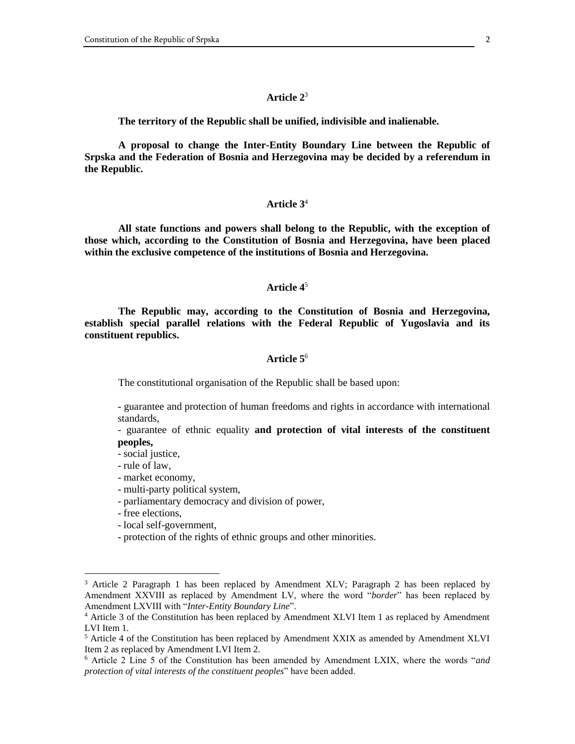**The territory of the Republic shall be unified, indivisible and inalienable.**

**A proposal to change the Inter-Entity Boundary Line between the Republic of Srpska and the Federation of Bosnia and Herzegovina may be decided by a referendum in the Republic.**

# **Article 3**<sup>4</sup>

**All state functions and powers shall belong to the Republic, with the exception of those which, according to the Constitution of Bosnia and Herzegovina, have been placed within the exclusive competence of the institutions of Bosnia and Herzegovina.**

### **Article 4**<sup>5</sup>

**The Republic may, according to the Constitution of Bosnia and Herzegovina, establish special parallel relations with the Federal Republic of Yugoslavia and its constituent republics.**

# **Article 5**<sup>6</sup>

The constitutional organisation of the Republic shall be based upon:

- guarantee and protection of human freedoms and rights in accordance with international standards,

- guarantee of ethnic equality **and protection of vital interests of the constituent peoples,**

- social justice,
- rule of law,
- market economy,
- multi-party political system,
- parliamentary democracy and division of power,
- free elections,

- local self-government,
- protection of the rights of ethnic groups and other minorities.

<sup>&</sup>lt;sup>3</sup> Article 2 Paragraph 1 has been replaced by Amendment XLV; Paragraph 2 has been replaced by Amendment XXVIII as replaced by Amendment LV, where the word "*border*" has been replaced by Amendment LXVIII with "*Inter-Entity Boundary Line*".

<sup>4</sup> Article 3 of the Constitution has been replaced by Amendment XLVI Item 1 as replaced by Amendment LVI Item 1.

<sup>&</sup>lt;sup>5</sup> Article 4 of the Constitution has been replaced by Amendment XXIX as amended by Amendment XLVI Item 2 as replaced by Amendment LVI Item 2.

<sup>6</sup> Article 2 Line 5 of the Constitution has been amended by Amendment LXIX, where the words "*and protection of vital interests of the constituent peoples*" have been added.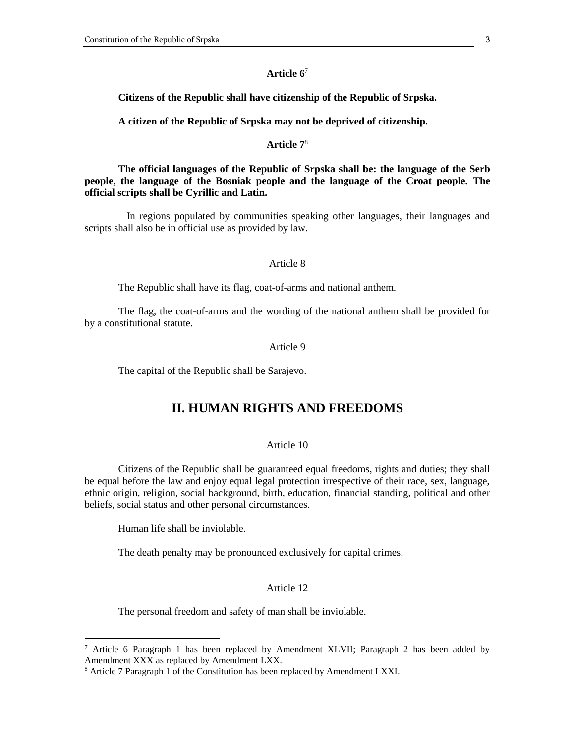#### **Citizens of the Republic shall have citizenship of the Republic of Srpska.**

**A citizen of the Republic of Srpska may not be deprived of citizenship.**

### **Article 7**<sup>8</sup>

**The official languages of the Republic of Srpska shall be: the language of the Serb people, the language of the Bosniak people and the language of the Croat people. The official scripts shall be Cyrillic and Latin.**

In regions populated by communities speaking other languages, their languages and scripts shall also be in official use as provided by law.

# Article 8

The Republic shall have its flag, coat-of-arms and national anthem.

The flag, the coat-of-arms and the wording of the national anthem shall be provided for by a constitutional statute.

### Article 9

The capital of the Republic shall be Sarajevo.

# **II. HUMAN RIGHTS AND FREEDOMS**

# Article 10

Citizens of the Republic shall be guaranteed equal freedoms, rights and duties; they shall be equal before the law and enjoy equal legal protection irrespective of their race, sex, language, ethnic origin, religion, social background, birth, education, financial standing, political and other beliefs, social status and other personal circumstances.

Human life shall be inviolable.

 $\overline{a}$ 

The death penalty may be pronounced exclusively for capital crimes.

#### Article 12

The personal freedom and safety of man shall be inviolable.

<sup>&</sup>lt;sup>7</sup> Article 6 Paragraph 1 has been replaced by Amendment XLVII; Paragraph 2 has been added by Amendment XXX as replaced by Amendment LXX.

<sup>&</sup>lt;sup>8</sup> Article 7 Paragraph 1 of the Constitution has been replaced by Amendment LXXI.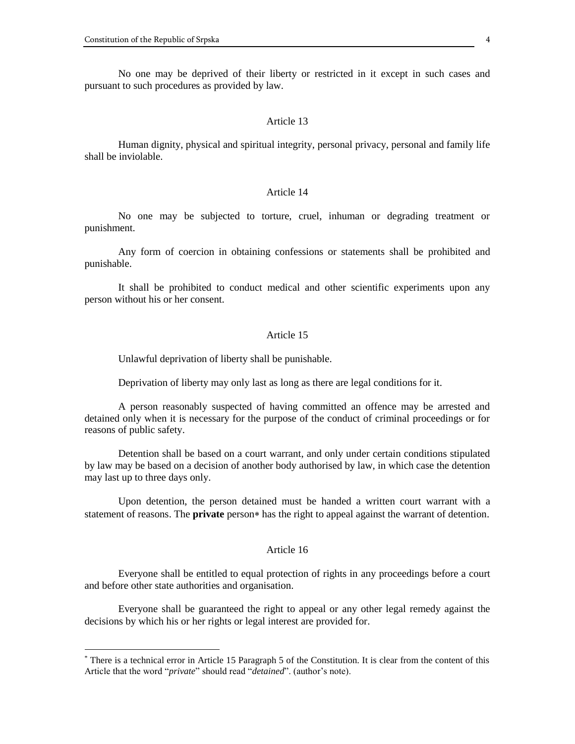$\overline{a}$ 

No one may be deprived of their liberty or restricted in it except in such cases and pursuant to such procedures as provided by law.

#### Article 13

Human dignity, physical and spiritual integrity, personal privacy, personal and family life shall be inviolable.

# Article 14

No one may be subjected to torture, cruel, inhuman or degrading treatment or punishment.

Any form of coercion in obtaining confessions or statements shall be prohibited and punishable.

It shall be prohibited to conduct medical and other scientific experiments upon any person without his or her consent.

#### Article 15

Unlawful deprivation of liberty shall be punishable.

Deprivation of liberty may only last as long as there are legal conditions for it.

A person reasonably suspected of having committed an offence may be arrested and detained only when it is necessary for the purpose of the conduct of criminal proceedings or for reasons of public safety.

Detention shall be based on a court warrant, and only under certain conditions stipulated by law may be based on a decision of another body authorised by law, in which case the detention may last up to three days only.

Upon detention, the person detained must be handed a written court warrant with a statement of reasons. The **private** person<sup>\*</sup> has the right to appeal against the warrant of detention.

# Article 16

Everyone shall be entitled to equal protection of rights in any proceedings before a court and before other state authorities and organisation.

Everyone shall be guaranteed the right to appeal or any other legal remedy against the decisions by which his or her rights or legal interest are provided for.

<sup>\*</sup> There is a technical error in Article 15 Paragraph 5 of the Constitution. It is clear from the content of this Article that the word "*private*" should read "*detained*". (author's note).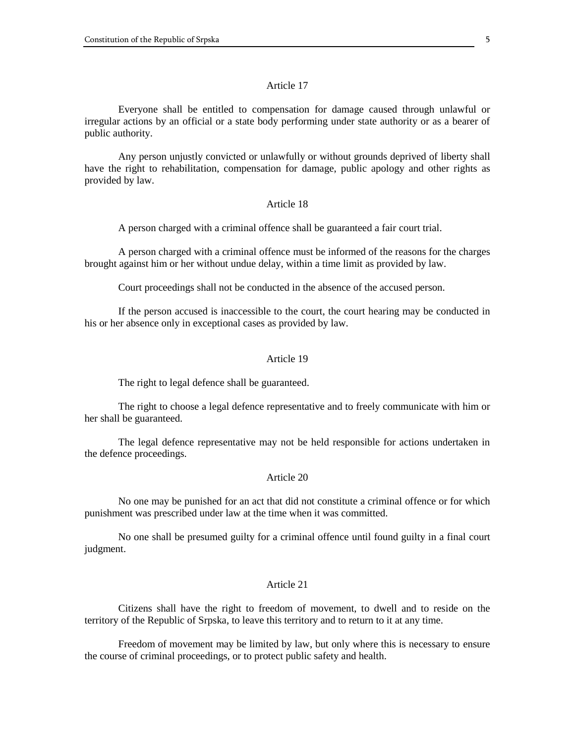Everyone shall be entitled to compensation for damage caused through unlawful or irregular actions by an official or a state body performing under state authority or as a bearer of public authority.

Any person unjustly convicted or unlawfully or without grounds deprived of liberty shall have the right to rehabilitation, compensation for damage, public apology and other rights as provided by law.

## Article 18

A person charged with a criminal offence shall be guaranteed a fair court trial.

A person charged with a criminal offence must be informed of the reasons for the charges brought against him or her without undue delay, within a time limit as provided by law.

Court proceedings shall not be conducted in the absence of the accused person.

If the person accused is inaccessible to the court, the court hearing may be conducted in his or her absence only in exceptional cases as provided by law.

# Article 19

The right to legal defence shall be guaranteed.

The right to choose a legal defence representative and to freely communicate with him or her shall be guaranteed.

The legal defence representative may not be held responsible for actions undertaken in the defence proceedings.

### Article 20

No one may be punished for an act that did not constitute a criminal offence or for which punishment was prescribed under law at the time when it was committed.

No one shall be presumed guilty for a criminal offence until found guilty in a final court judgment.

#### Article 21

Citizens shall have the right to freedom of movement, to dwell and to reside on the territory of the Republic of Srpska, to leave this territory and to return to it at any time.

Freedom of movement may be limited by law, but only where this is necessary to ensure the course of criminal proceedings, or to protect public safety and health.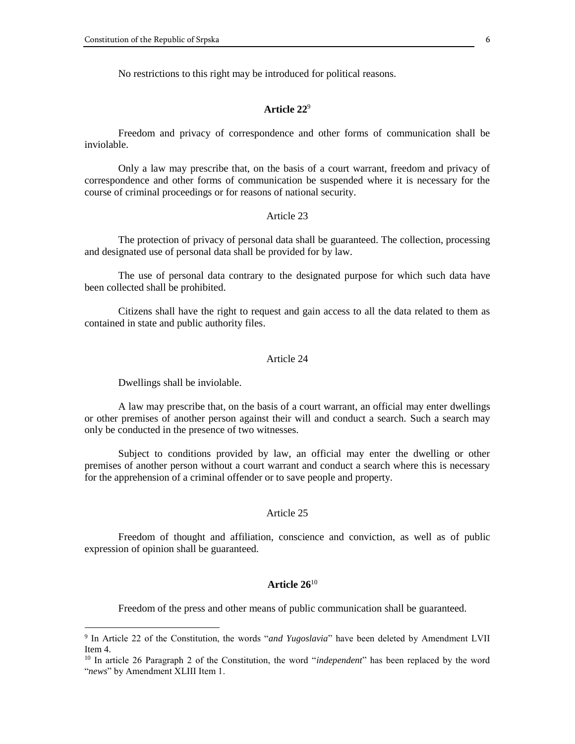No restrictions to this right may be introduced for political reasons.

# **Article 22**<sup>9</sup>

Freedom and privacy of correspondence and other forms of communication shall be inviolable.

Only a law may prescribe that, on the basis of a court warrant, freedom and privacy of correspondence and other forms of communication be suspended where it is necessary for the course of criminal proceedings or for reasons of national security.

# Article 23

The protection of privacy of personal data shall be guaranteed. The collection, processing and designated use of personal data shall be provided for by law.

The use of personal data contrary to the designated purpose for which such data have been collected shall be prohibited.

Citizens shall have the right to request and gain access to all the data related to them as contained in state and public authority files.

# Article 24

Dwellings shall be inviolable.

 $\overline{a}$ 

A law may prescribe that, on the basis of a court warrant, an official may enter dwellings or other premises of another person against their will and conduct a search. Such a search may only be conducted in the presence of two witnesses.

Subject to conditions provided by law, an official may enter the dwelling or other premises of another person without a court warrant and conduct a search where this is necessary for the apprehension of a criminal offender or to save people and property.

# Article 25

Freedom of thought and affiliation, conscience and conviction, as well as of public expression of opinion shall be guaranteed.

# **Article 26**<sup>10</sup>

Freedom of the press and other means of public communication shall be guaranteed.

<sup>9</sup> In Article 22 of the Constitution, the words "*and Yugoslavia*" have been deleted by Amendment LVII Item 4.

<sup>10</sup> In article 26 Paragraph 2 of the Constitution, the word "*independent*" has been replaced by the word "*news*" by Amendment XLIII Item 1.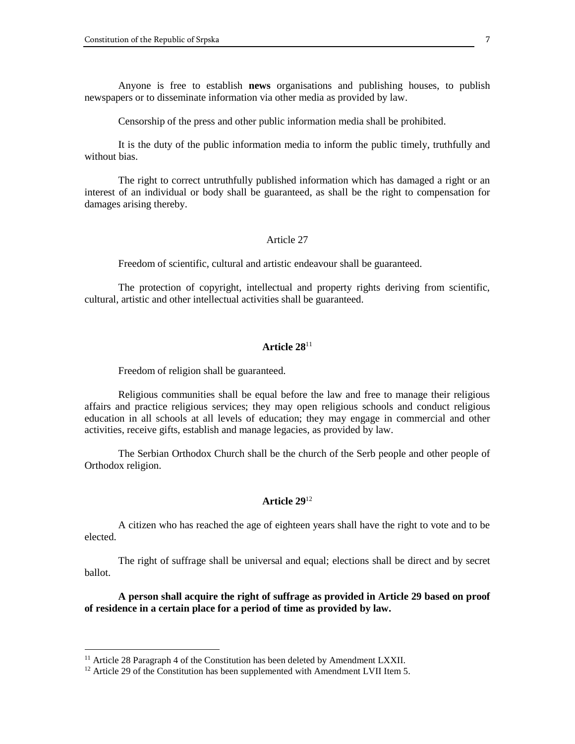Anyone is free to establish **news** organisations and publishing houses, to publish newspapers or to disseminate information via other media as provided by law.

Censorship of the press and other public information media shall be prohibited.

It is the duty of the public information media to inform the public timely, truthfully and without bias.

The right to correct untruthfully published information which has damaged a right or an interest of an individual or body shall be guaranteed, as shall be the right to compensation for damages arising thereby.

#### Article 27

Freedom of scientific, cultural and artistic endeavour shall be guaranteed.

The protection of copyright, intellectual and property rights deriving from scientific, cultural, artistic and other intellectual activities shall be guaranteed.

# **Article 28**<sup>11</sup>

Freedom of religion shall be guaranteed.

Religious communities shall be equal before the law and free to manage their religious affairs and practice religious services; they may open religious schools and conduct religious education in all schools at all levels of education; they may engage in commercial and other activities, receive gifts, establish and manage legacies, as provided by law.

The Serbian Orthodox Church shall be the church of the Serb people and other people of Orthodox religion.

# **Article 29**<sup>12</sup>

A citizen who has reached the age of eighteen years shall have the right to vote and to be elected.

The right of suffrage shall be universal and equal; elections shall be direct and by secret ballot.

**A person shall acquire the right of suffrage as provided in Article 29 based on proof of residence in a certain place for a period of time as provided by law.**

 $11$  Article 28 Paragraph 4 of the Constitution has been deleted by Amendment LXXII.

<sup>&</sup>lt;sup>12</sup> Article 29 of the Constitution has been supplemented with Amendment LVII Item 5.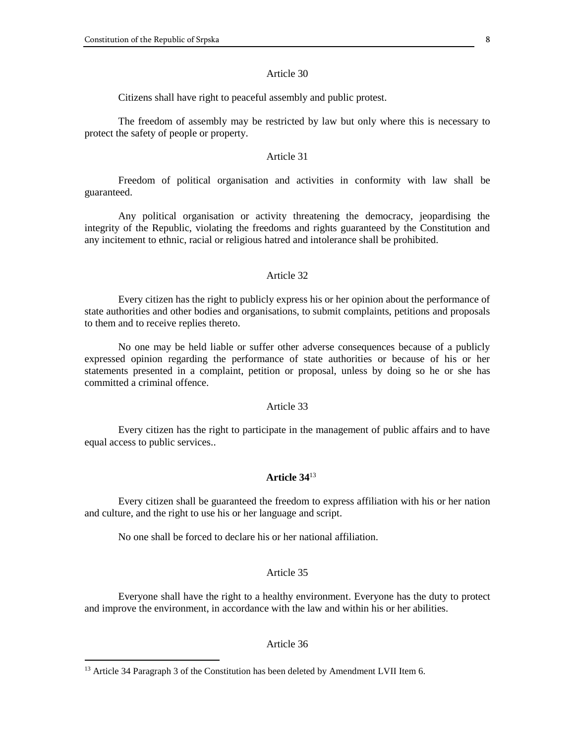Citizens shall have right to peaceful assembly and public protest.

The freedom of assembly may be restricted by law but only where this is necessary to protect the safety of people or property.

#### Article 31

Freedom of political organisation and activities in conformity with law shall be guaranteed.

Any political organisation or activity threatening the democracy, jeopardising the integrity of the Republic, violating the freedoms and rights guaranteed by the Constitution and any incitement to ethnic, racial or religious hatred and intolerance shall be prohibited.

#### Article 32

Every citizen has the right to publicly express his or her opinion about the performance of state authorities and other bodies and organisations, to submit complaints, petitions and proposals to them and to receive replies thereto.

No one may be held liable or suffer other adverse consequences because of a publicly expressed opinion regarding the performance of state authorities or because of his or her statements presented in a complaint, petition or proposal, unless by doing so he or she has committed a criminal offence.

#### Article 33

Every citizen has the right to participate in the management of public affairs and to have equal access to public services..

# **Article 34**<sup>13</sup>

Every citizen shall be guaranteed the freedom to express affiliation with his or her nation and culture, and the right to use his or her language and script.

No one shall be forced to declare his or her national affiliation.

# Article 35

Everyone shall have the right to a healthy environment. Everyone has the duty to protect and improve the environment, in accordance with the law and within his or her abilities.

#### Article 36

<sup>&</sup>lt;sup>13</sup> Article 34 Paragraph 3 of the Constitution has been deleted by Amendment LVII Item 6.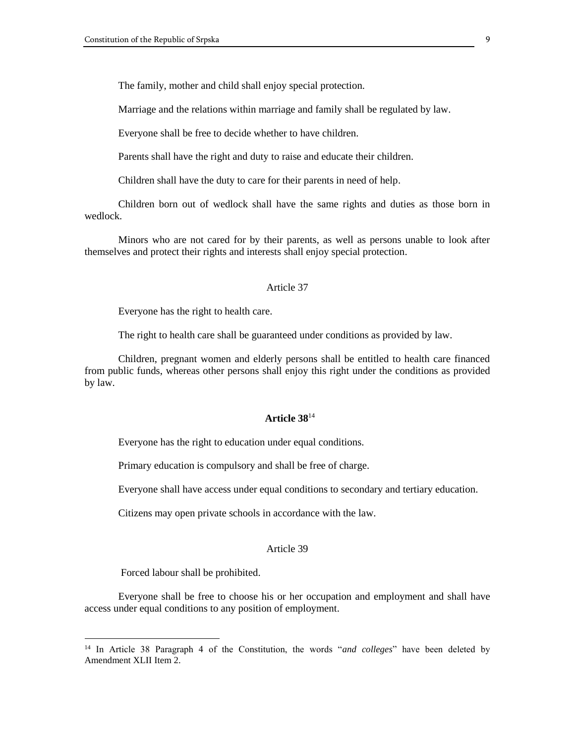The family, mother and child shall enjoy special protection.

Marriage and the relations within marriage and family shall be regulated by law.

Everyone shall be free to decide whether to have children.

Parents shall have the right and duty to raise and educate their children.

Children shall have the duty to care for their parents in need of help.

Children born out of wedlock shall have the same rights and duties as those born in wedlock.

Minors who are not cared for by their parents, as well as persons unable to look after themselves and protect their rights and interests shall enjoy special protection.

#### Article 37

Everyone has the right to health care.

The right to health care shall be guaranteed under conditions as provided by law.

Children, pregnant women and elderly persons shall be entitled to health care financed from public funds, whereas other persons shall enjoy this right under the conditions as provided by law.

### **Article 38**<sup>14</sup>

Everyone has the right to education under equal conditions.

Primary education is compulsory and shall be free of charge.

Everyone shall have access under equal conditions to secondary and tertiary education.

Citizens may open private schools in accordance with the law.

# Article 39

Forced labour shall be prohibited.

 $\overline{a}$ 

Everyone shall be free to choose his or her occupation and employment and shall have access under equal conditions to any position of employment.

<sup>14</sup> In Article 38 Paragraph 4 of the Constitution, the words "*and colleges*" have been deleted by Amendment XLII Item 2.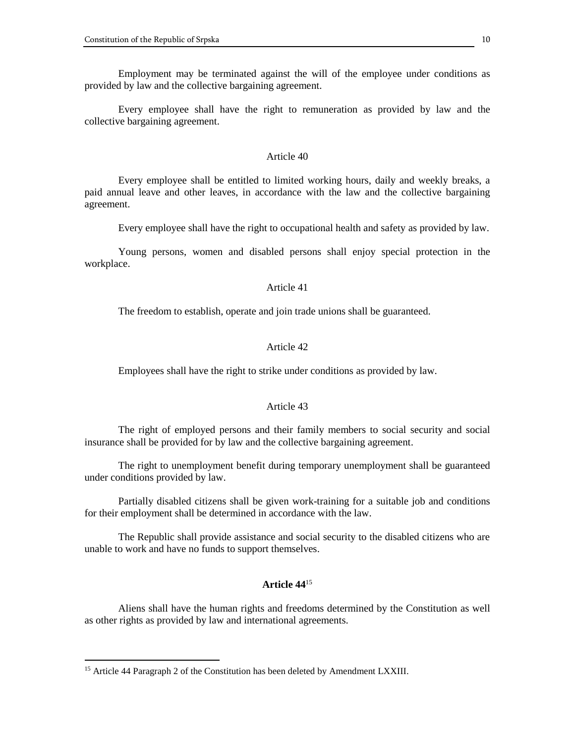Employment may be terminated against the will of the employee under conditions as provided by law and the collective bargaining agreement.

Every employee shall have the right to remuneration as provided by law and the collective bargaining agreement.

#### Article 40

Every employee shall be entitled to limited working hours, daily and weekly breaks, a paid annual leave and other leaves, in accordance with the law and the collective bargaining agreement.

Every employee shall have the right to occupational health and safety as provided by law.

Young persons, women and disabled persons shall enjoy special protection in the workplace.

#### Article 41

The freedom to establish, operate and join trade unions shall be guaranteed.

# Article 42

Employees shall have the right to strike under conditions as provided by law.

#### Article 43

The right of employed persons and their family members to social security and social insurance shall be provided for by law and the collective bargaining agreement.

The right to unemployment benefit during temporary unemployment shall be guaranteed under conditions provided by law.

Partially disabled citizens shall be given work-training for a suitable job and conditions for their employment shall be determined in accordance with the law.

The Republic shall provide assistance and social security to the disabled citizens who are unable to work and have no funds to support themselves.

# **Article 44**<sup>15</sup>

Aliens shall have the human rights and freedoms determined by the Constitution as well as other rights as provided by law and international agreements.

<sup>&</sup>lt;sup>15</sup> Article 44 Paragraph 2 of the Constitution has been deleted by Amendment LXXIII.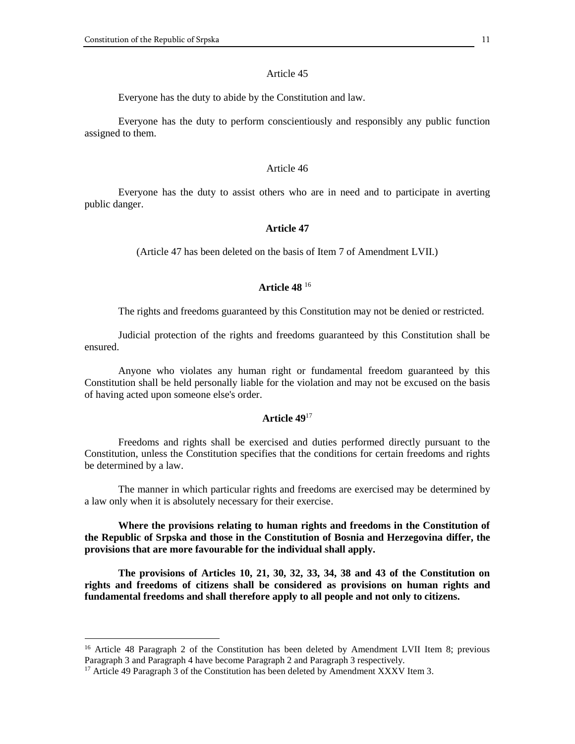Everyone has the duty to abide by the Constitution and law.

Everyone has the duty to perform conscientiously and responsibly any public function assigned to them.

#### Article 46

Everyone has the duty to assist others who are in need and to participate in averting public danger.

#### **Article 47**

(Article 47 has been deleted on the basis of Item 7 of Amendment LVII.)

# **Article 48** <sup>16</sup>

The rights and freedoms guaranteed by this Constitution may not be denied or restricted.

Judicial protection of the rights and freedoms guaranteed by this Constitution shall be ensured.

Anyone who violates any human right or fundamental freedom guaranteed by this Constitution shall be held personally liable for the violation and may not be excused on the basis of having acted upon someone else's order.

### **Article 49**<sup>17</sup>

Freedoms and rights shall be exercised and duties performed directly pursuant to the Constitution, unless the Constitution specifies that the conditions for certain freedoms and rights be determined by a law.

The manner in which particular rights and freedoms are exercised may be determined by a law only when it is absolutely necessary for their exercise.

**Where the provisions relating to human rights and freedoms in the Constitution of the Republic of Srpska and those in the Constitution of Bosnia and Herzegovina differ, the provisions that are more favourable for the individual shall apply.**

**The provisions of Articles 10, 21, 30, 32, 33, 34, 38 and 43 of the Constitution on rights and freedoms of citizens shall be considered as provisions on human rights and fundamental freedoms and shall therefore apply to all people and not only to citizens.**

<sup>&</sup>lt;sup>16</sup> Article 48 Paragraph 2 of the Constitution has been deleted by Amendment LVII Item 8; previous Paragraph 3 and Paragraph 4 have become Paragraph 2 and Paragraph 3 respectively.

 $17$  Article 49 Paragraph 3 of the Constitution has been deleted by Amendment XXXV Item 3.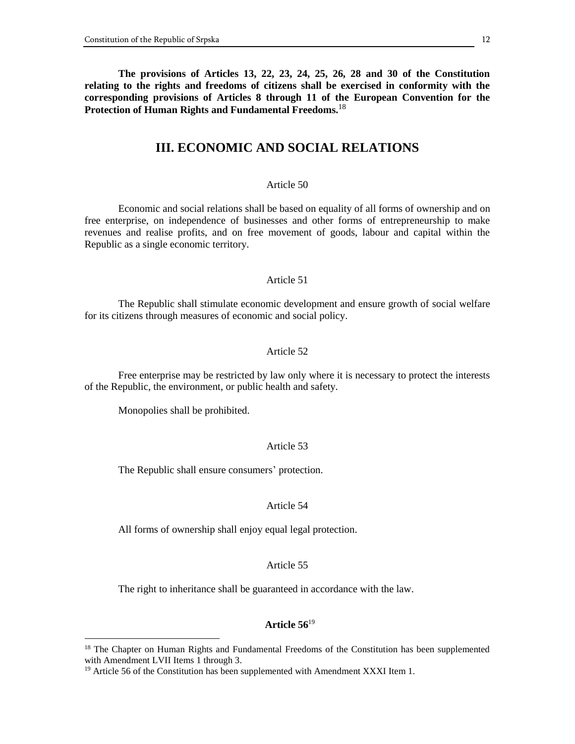**The provisions of Articles 13, 22, 23, 24, 25, 26, 28 and 30 of the Constitution relating to the rights and freedoms of citizens shall be exercised in conformity with the corresponding provisions of Articles 8 through 11 of the European Convention for the Protection of Human Rights and Fundamental Freedoms.**<sup>18</sup>

# **III. ECONOMIC AND SOCIAL RELATIONS**

#### Article 50

Economic and social relations shall be based on equality of all forms of ownership and on free enterprise, on independence of businesses and other forms of entrepreneurship to make revenues and realise profits, and on free movement of goods, labour and capital within the Republic as a single economic territory.

#### Article 51

The Republic shall stimulate economic development and ensure growth of social welfare for its citizens through measures of economic and social policy.

# Article 52

Free enterprise may be restricted by law only where it is necessary to protect the interests of the Republic, the environment, or public health and safety.

Monopolies shall be prohibited.

 $\overline{a}$ 

#### Article 53

The Republic shall ensure consumers' protection.

#### Article 54

All forms of ownership shall enjoy equal legal protection.

#### Article 55

The right to inheritance shall be guaranteed in accordance with the law.

#### **Article 56**<sup>19</sup>

<sup>&</sup>lt;sup>18</sup> The Chapter on Human Rights and Fundamental Freedoms of the Constitution has been supplemented with Amendment LVII Items 1 through 3.

<sup>&</sup>lt;sup>19</sup> Article 56 of the Constitution has been supplemented with Amendment XXXI Item 1.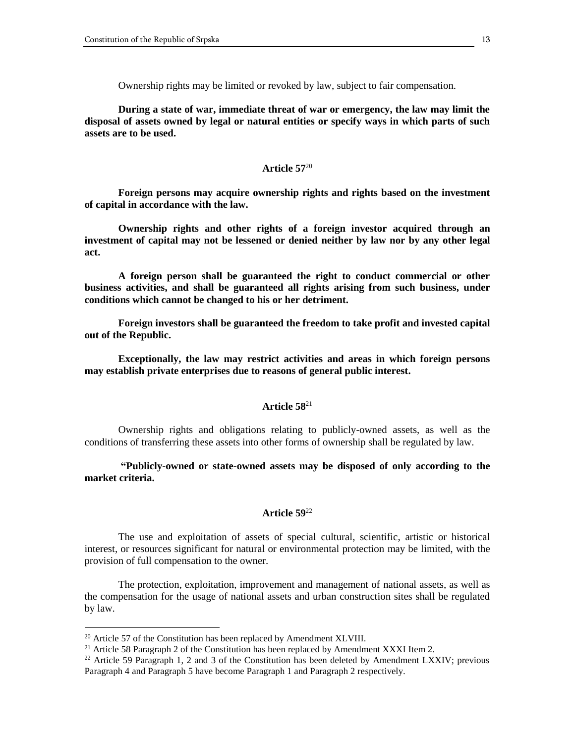Ownership rights may be limited or revoked by law, subject to fair compensation.

**During a state of war, immediate threat of war or emergency, the law may limit the disposal of assets owned by legal or natural entities or specify ways in which parts of such assets are to be used.**

### **Article 57**<sup>20</sup>

**Foreign persons may acquire ownership rights and rights based on the investment of capital in accordance with the law.**

**Ownership rights and other rights of a foreign investor acquired through an investment of capital may not be lessened or denied neither by law nor by any other legal act.**

**A foreign person shall be guaranteed the right to conduct commercial or other business activities, and shall be guaranteed all rights arising from such business, under conditions which cannot be changed to his or her detriment.**

**Foreign investors shall be guaranteed the freedom to take profit and invested capital out of the Republic.**

**Exceptionally, the law may restrict activities and areas in which foreign persons may establish private enterprises due to reasons of general public interest.**

# **Article 58**<sup>21</sup>

Ownership rights and obligations relating to publicly-owned assets, as well as the conditions of transferring these assets into other forms of ownership shall be regulated by law.

**"Publicly-owned or state-owned assets may be disposed of only according to the market criteria.**

# **Article 59**<sup>22</sup>

The use and exploitation of assets of special cultural, scientific, artistic or historical interest, or resources significant for natural or environmental protection may be limited, with the provision of full compensation to the owner.

The protection, exploitation, improvement and management of national assets, as well as the compensation for the usage of national assets and urban construction sites shall be regulated by law.

 $20$  Article 57 of the Constitution has been replaced by Amendment XLVIII.

<sup>&</sup>lt;sup>21</sup> Article 58 Paragraph 2 of the Constitution has been replaced by Amendment XXXI Item 2.

<sup>&</sup>lt;sup>22</sup> Article 59 Paragraph 1, 2 and 3 of the Constitution has been deleted by Amendment LXXIV; previous Paragraph 4 and Paragraph 5 have become Paragraph 1 and Paragraph 2 respectively.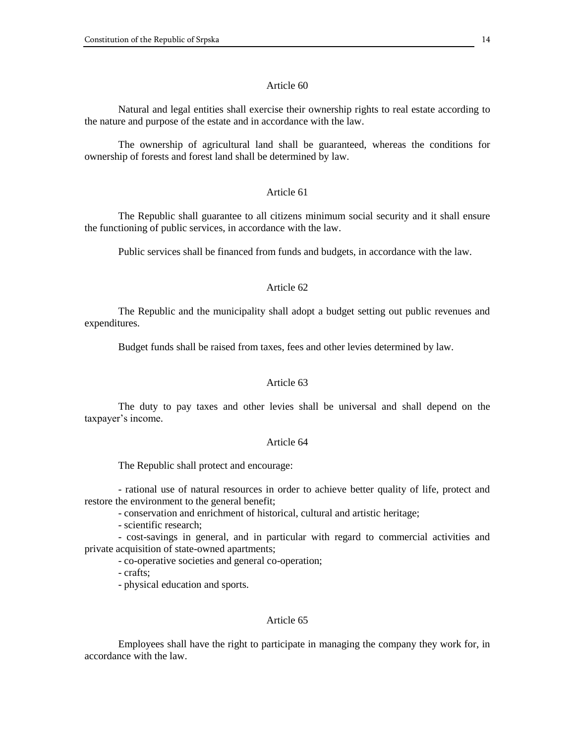Natural and legal entities shall exercise their ownership rights to real estate according to the nature and purpose of the estate and in accordance with the law.

The ownership of agricultural land shall be guaranteed, whereas the conditions for ownership of forests and forest land shall be determined by law.

# Article 61

The Republic shall guarantee to all citizens minimum social security and it shall ensure the functioning of public services, in accordance with the law.

Public services shall be financed from funds and budgets, in accordance with the law.

# Article 62

The Republic and the municipality shall adopt a budget setting out public revenues and expenditures.

Budget funds shall be raised from taxes, fees and other levies determined by law.

### Article 63

The duty to pay taxes and other levies shall be universal and shall depend on the taxpayer's income.

#### Article 64

The Republic shall protect and encourage:

- rational use of natural resources in order to achieve better quality of life, protect and restore the environment to the general benefit;

- conservation and enrichment of historical, cultural and artistic heritage;

- scientific research;

- cost-savings in general, and in particular with regard to commercial activities and private acquisition of state-owned apartments;

- co-operative societies and general co-operation;

- crafts;

- physical education and sports.

# Article 65

Employees shall have the right to participate in managing the company they work for, in accordance with the law.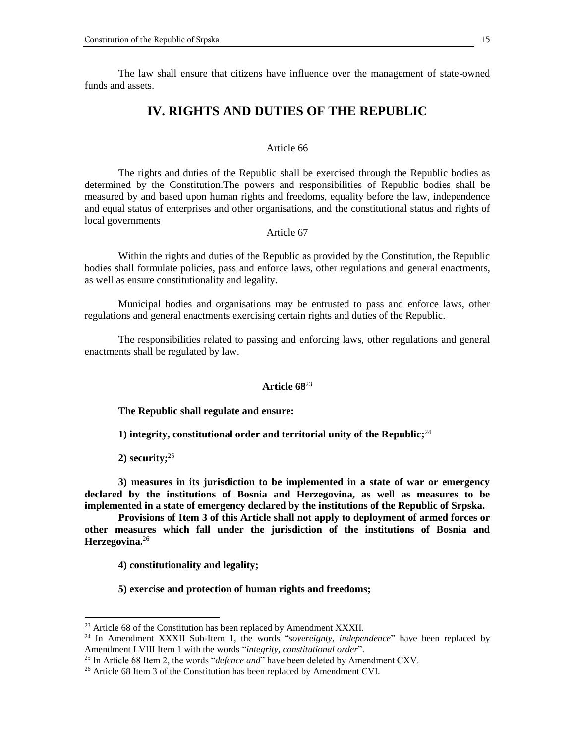The law shall ensure that citizens have influence over the management of state-owned funds and assets.

# **IV. RIGHTS AND DUTIES OF THE REPUBLIC**

#### Article 66

The rights and duties of the Republic shall be exercised through the Republic bodies as determined by the Constitution.The powers and responsibilities of Republic bodies shall be measured by and based upon human rights and freedoms, equality before the law, independence and equal status of enterprises and other organisations, and the constitutional status and rights of local governments

# Article 67

Within the rights and duties of the Republic as provided by the Constitution, the Republic bodies shall formulate policies, pass and enforce laws, other regulations and general enactments, as well as ensure constitutionality and legality.

Municipal bodies and organisations may be entrusted to pass and enforce laws, other regulations and general enactments exercising certain rights and duties of the Republic.

The responsibilities related to passing and enforcing laws, other regulations and general enactments shall be regulated by law.

# **Article 68**<sup>23</sup>

**The Republic shall regulate and ensure:**

**1) integrity, constitutional order and territorial unity of the Republic;** 24

**2) security;** 25

 $\overline{a}$ 

**3) measures in its jurisdiction to be implemented in a state of war or emergency declared by the institutions of Bosnia and Herzegovina, as well as measures to be implemented in a state of emergency declared by the institutions of the Republic of Srpska.**

**Provisions of Item 3 of this Article shall not apply to deployment of armed forces or other measures which fall under the jurisdiction of the institutions of Bosnia and Herzegovina.**<sup>26</sup>

**4) constitutionality and legality;**

**5) exercise and protection of human rights and freedoms;**

 $^{23}$  Article 68 of the Constitution has been replaced by Amendment XXXII.

<sup>24</sup> In Amendment XXXII Sub-Item 1, the words "*sovereignty, independence*" have been replaced by Amendment LVIII Item 1 with the words "*integrity, constitutional order*".

<sup>&</sup>lt;sup>25</sup> In Article 68 Item 2, the words "*defence and*" have been deleted by Amendment CXV.

<sup>&</sup>lt;sup>26</sup> Article 68 Item 3 of the Constitution has been replaced by Amendment CVI.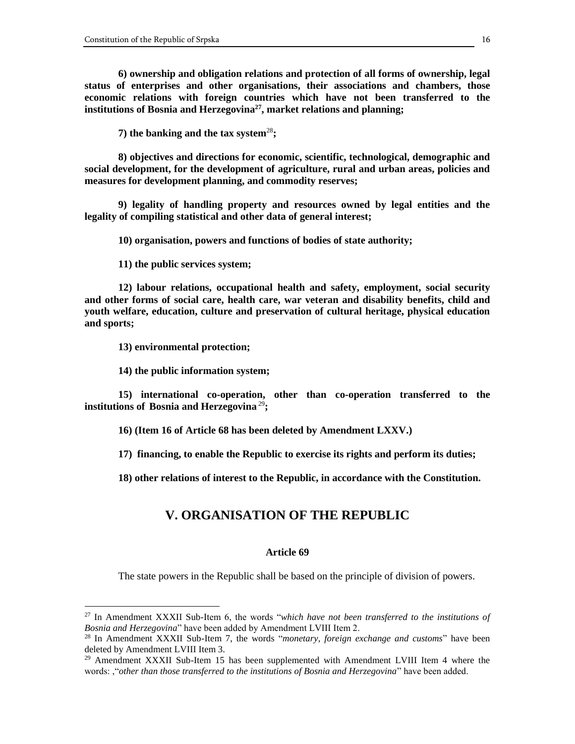**6) ownership and obligation relations and protection of all forms of ownership, legal status of enterprises and other organisations, their associations and chambers, those economic relations with foreign countries which have not been transferred to the institutions of Bosnia and Herzegovina<sup>27</sup>, market relations and planning;**

**7) the banking and the tax system**<sup>28</sup>**;**

**8) objectives and directions for economic, scientific, technological, demographic and social development, for the development of agriculture, rural and urban areas, policies and measures for development planning, and commodity reserves;**

**9) legality of handling property and resources owned by legal entities and the legality of compiling statistical and other data of general interest;**

**10) organisation, powers and functions of bodies of state authority;**

**11) the public services system;**

**12) labour relations, occupational health and safety, employment, social security and other forms of social care, health care, war veteran and disability benefits, child and youth welfare, education, culture and preservation of cultural heritage, physical education and sports;**

**13) environmental protection;**

 $\overline{a}$ 

**14) the public information system;**

**15) international co-operation, other than co-operation transferred to the institutions of Bosnia and Herzegovina** <sup>29</sup>**;**

**16) (Item 16 of Article 68 has been deleted by Amendment LXXV.)**

**17) financing, to enable the Republic to exercise its rights and perform its duties;**

**18) other relations of interest to the Republic, in accordance with the Constitution.**

# **V. ORGANISATION OF THE REPUBLIC**

#### **Article 69**

The state powers in the Republic shall be based on the principle of division of powers.

<sup>27</sup> In Amendment XXXII Sub-Item 6, the words "*which have not been transferred to the institutions of Bosnia and Herzegovina*" have been added by Amendment LVIII Item 2.

<sup>28</sup> In Amendment XXXII Sub-Item 7, the words "*monetary, foreign exchange and customs*" have been deleted by Amendment LVIII Item 3.

 $^{29}$  Amendment XXXII Sub-Item 15 has been supplemented with Amendment LVIII Item 4 where the words: ,"*other than those transferred to the institutions of Bosnia and Herzegovina*" have been added.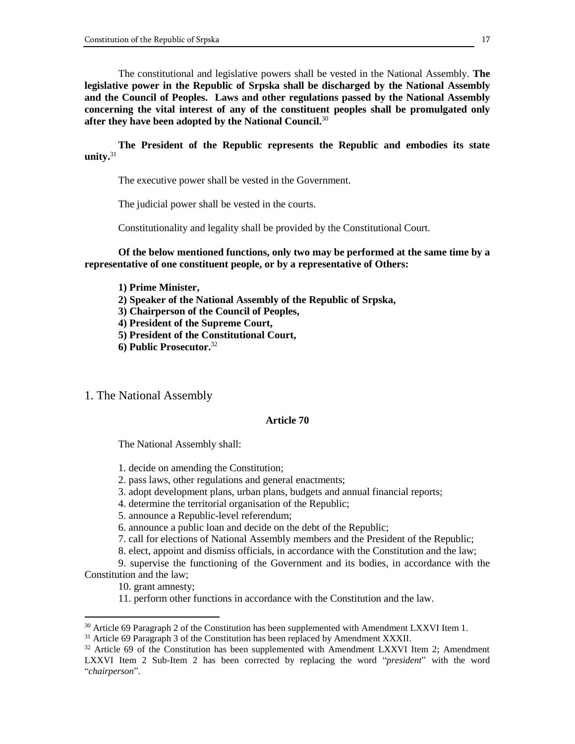The constitutional and legislative powers shall be vested in the National Assembly. **The legislative power in the Republic of Srpska shall be discharged by the National Assembly and the Council of Peoples. Laws and other regulations passed by the National Assembly concerning the vital interest of any of the constituent peoples shall be promulgated only after they have been adopted by the National Council.**<sup>30</sup>

**The President of the Republic represents the Republic and embodies its state unity.**<sup>31</sup>

The executive power shall be vested in the Government.

The judicial power shall be vested in the courts.

Constitutionality and legality shall be provided by the Constitutional Court.

**Of the below mentioned functions, only two may be performed at the same time by a representative of one constituent people, or by a representative of Others:**

**1) Prime Minister,**

**2) Speaker of the National Assembly of the Republic of Srpska,**

**3) Chairperson of the Council of Peoples,**

**4) President of the Supreme Court,**

**5) President of the Constitutional Court,**

**6) Public Prosecutor.**<sup>32</sup>

1. The National Assembly

# **Article 70**

The National Assembly shall:

1. decide on amending the Constitution;

2. pass laws, other regulations and general enactments;

3. adopt development plans, urban plans, budgets and annual financial reports;

4. determine the territorial organisation of the Republic;

5. announce a Republic-level referendum;

6. announce a public loan and decide on the debt of the Republic;

7. call for elections of National Assembly members and the President of the Republic;

8. elect, appoint and dismiss officials, in accordance with the Constitution and the law;

9. supervise the functioning of the Government and its bodies, in accordance with the Constitution and the law;

10. grant amnesty;

 $\overline{a}$ 

11. perform other functions in accordance with the Constitution and the law.

 $30$  Article 69 Paragraph 2 of the Constitution has been supplemented with Amendment LXXVI Item 1.

<sup>&</sup>lt;sup>31</sup> Article 69 Paragraph 3 of the Constitution has been replaced by Amendment XXXII.

 $32$  Article 69 of the Constitution has been supplemented with Amendment LXXVI Item 2; Amendment LXXVI Item 2 Sub-Item 2 has been corrected by replacing the word "*president*" with the word "*chairperson*".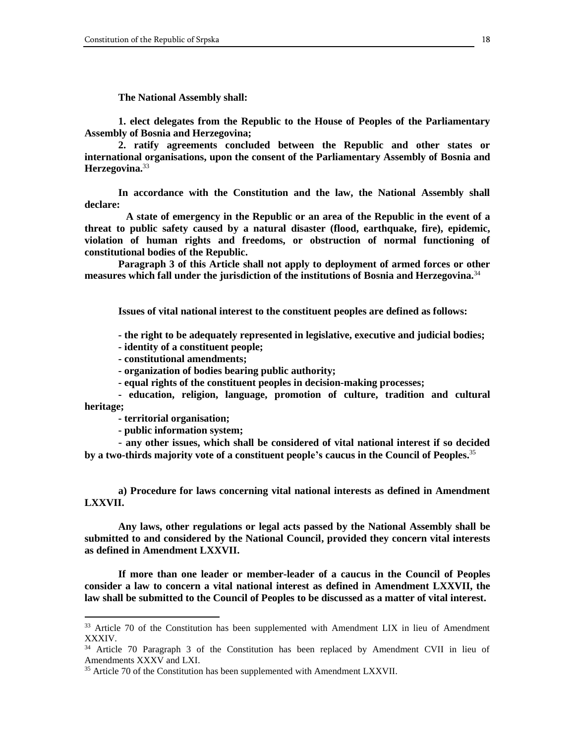**The National Assembly shall:**

**1. elect delegates from the Republic to the House of Peoples of the Parliamentary Assembly of Bosnia and Herzegovina;**

**2. ratify agreements concluded between the Republic and other states or international organisations, upon the consent of the Parliamentary Assembly of Bosnia and Herzegovina.**<sup>33</sup>

**In accordance with the Constitution and the law, the National Assembly shall declare:**

 **A state of emergency in the Republic or an area of the Republic in the event of a threat to public safety caused by a natural disaster (flood, earthquake, fire), epidemic, violation of human rights and freedoms, or obstruction of normal functioning of constitutional bodies of the Republic.**

**Paragraph 3 of this Article shall not apply to deployment of armed forces or other measures which fall under the jurisdiction of the institutions of Bosnia and Herzegovina.**<sup>34</sup>

**Issues of vital national interest to the constituent peoples are defined as follows:**

**- the right to be adequately represented in legislative, executive and judicial bodies;**

**- identity of a constituent people;**

**- constitutional amendments;**

**- organization of bodies bearing public authority;**

**- equal rights of the constituent peoples in decision-making processes;**

**- education, religion, language, promotion of culture, tradition and cultural heritage;**

**- territorial organisation;**

 $\overline{a}$ 

**- public information system;**

- **any other issues, which shall be considered of vital national interest if so decided by a two-thirds majority vote of a constituent people's caucus in the Council of Peoples.** 35

**a) Procedure for laws concerning vital national interests as defined in Amendment LXXVII.**

**Any laws, other regulations or legal acts passed by the National Assembly shall be submitted to and considered by the National Council, provided they concern vital interests as defined in Amendment LXXVII.**

**If more than one leader or member-leader of a caucus in the Council of Peoples consider a law to concern a vital national interest as defined in Amendment LXXVII, the law shall be submitted to the Council of Peoples to be discussed as a matter of vital interest.**

 $33$  Article 70 of the Constitution has been supplemented with Amendment LIX in lieu of Amendment XXXIV.

<sup>&</sup>lt;sup>34</sup> Article 70 Paragraph 3 of the Constitution has been replaced by Amendment CVII in lieu of Amendments XXXV and LXI.

<sup>&</sup>lt;sup>35</sup> Article 70 of the Constitution has been supplemented with Amendment LXXVII.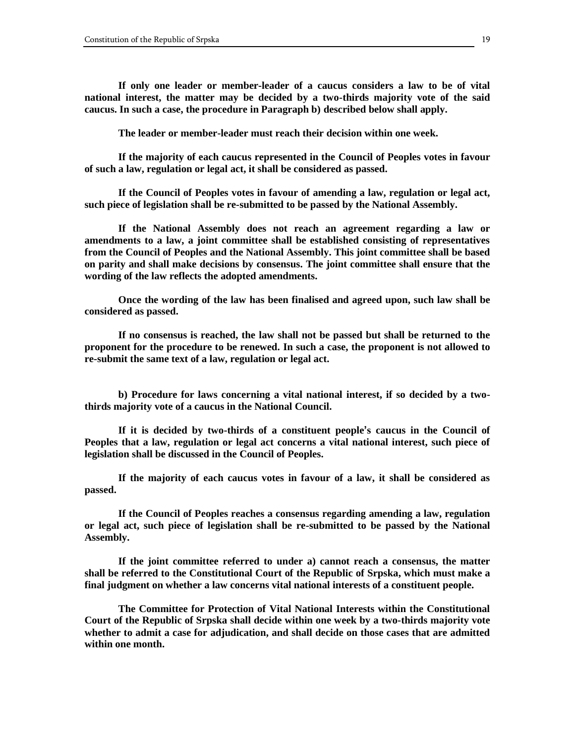**If only one leader or member-leader of a caucus considers a law to be of vital national interest, the matter may be decided by a two-thirds majority vote of the said caucus. In such a case, the procedure in Paragraph b) described below shall apply.**

**The leader or member-leader must reach their decision within one week.**

**If the majority of each caucus represented in the Council of Peoples votes in favour of such a law, regulation or legal act, it shall be considered as passed.**

**If the Council of Peoples votes in favour of amending a law, regulation or legal act, such piece of legislation shall be re-submitted to be passed by the National Assembly.**

**If the National Assembly does not reach an agreement regarding a law or amendments to a law, a joint committee shall be established consisting of representatives from the Council of Peoples and the National Assembly. This joint committee shall be based on parity and shall make decisions by consensus. The joint committee shall ensure that the wording of the law reflects the adopted amendments.**

**Once the wording of the law has been finalised and agreed upon, such law shall be considered as passed.**

**If no consensus is reached, the law shall not be passed but shall be returned to the proponent for the procedure to be renewed. In such a case, the proponent is not allowed to re-submit the same text of a law, regulation or legal act.**

**b) Procedure for laws concerning a vital national interest, if so decided by a twothirds majority vote of a caucus in the National Council.**

**If it is decided by two-thirds of a constituent people's caucus in the Council of Peoples that a law, regulation or legal act concerns a vital national interest, such piece of legislation shall be discussed in the Council of Peoples.**

**If the majority of each caucus votes in favour of a law, it shall be considered as passed.**

**If the Council of Peoples reaches a consensus regarding amending a law, regulation or legal act, such piece of legislation shall be re-submitted to be passed by the National Assembly.**

**If the joint committee referred to under a) cannot reach a consensus, the matter shall be referred to the Constitutional Court of the Republic of Srpska, which must make a final judgment on whether a law concerns vital national interests of a constituent people.**

**The Committee for Protection of Vital National Interests within the Constitutional Court of the Republic of Srpska shall decide within one week by a two-thirds majority vote whether to admit a case for adjudication, and shall decide on those cases that are admitted within one month.**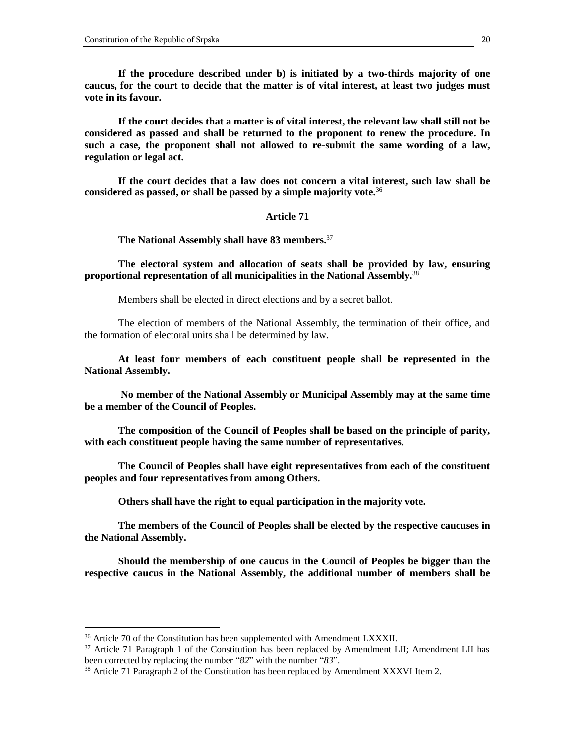**If the procedure described under b) is initiated by a two-thirds majority of one caucus, for the court to decide that the matter is of vital interest, at least two judges must vote in its favour.**

**If the court decides that a matter is of vital interest, the relevant law shall still not be considered as passed and shall be returned to the proponent to renew the procedure. In such a case, the proponent shall not allowed to re-submit the same wording of a law, regulation or legal act.**

**If the court decides that a law does not concern a vital interest, such law shall be considered as passed, or shall be passed by a simple majority vote.**<sup>36</sup>

# **Article 71**

**The National Assembly shall have 83 members.** 37

**The electoral system and allocation of seats shall be provided by law, ensuring proportional representation of all municipalities in the National Assembly.**<sup>38</sup>

Members shall be elected in direct elections and by a secret ballot.

The election of members of the National Assembly, the termination of their office, and the formation of electoral units shall be determined by law.

**At least four members of each constituent people shall be represented in the National Assembly.**

**No member of the National Assembly or Municipal Assembly may at the same time be a member of the Council of Peoples.**

**The composition of the Council of Peoples shall be based on the principle of parity, with each constituent people having the same number of representatives.**

**The Council of Peoples shall have eight representatives from each of the constituent peoples and four representatives from among Others.**

**Others shall have the right to equal participation in the majority vote.**

**The members of the Council of Peoples shall be elected by the respective caucuses in the National Assembly.**

**Should the membership of one caucus in the Council of Peoples be bigger than the respective caucus in the National Assembly, the additional number of members shall be** 

 $36$  Article 70 of the Constitution has been supplemented with Amendment LXXXII.

 $37$  Article 71 Paragraph 1 of the Constitution has been replaced by Amendment LII; Amendment LII has been corrected by replacing the number "*82*" with the number "*83*".

 $38$  Article 71 Paragraph 2 of the Constitution has been replaced by Amendment XXXVI Item 2.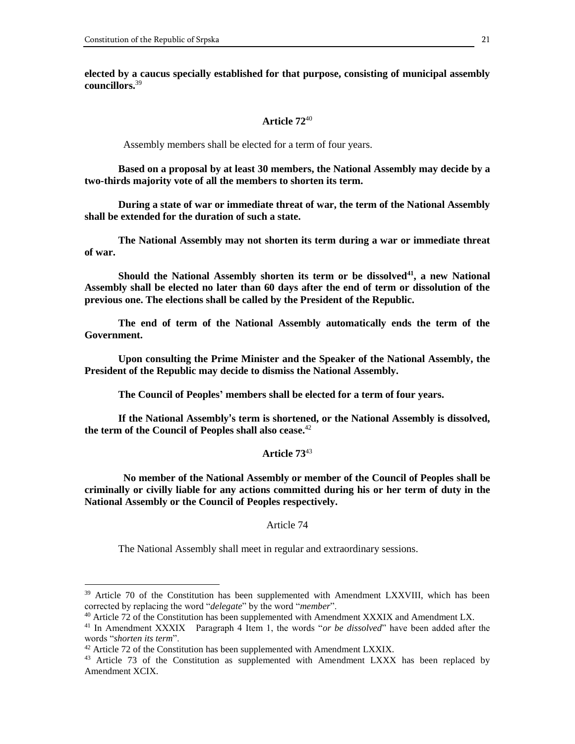**elected by a caucus specially established for that purpose, consisting of municipal assembly councillors.** 39

### **Article 72**<sup>40</sup>

Assembly members shall be elected for a term of four years.

**Based on a proposal by at least 30 members, the National Assembly may decide by a two-thirds majority vote of all the members to shorten its term.**

**During a state of war or immediate threat of war, the term of the National Assembly shall be extended for the duration of such a state.**

**The National Assembly may not shorten its term during a war or immediate threat of war.**

**Should the National Assembly shorten its term or be dissolved<sup>41</sup>, a new National Assembly shall be elected no later than 60 days after the end of term or dissolution of the previous one. The elections shall be called by the President of the Republic.**

**The end of term of the National Assembly automatically ends the term of the Government.**

**Upon consulting the Prime Minister and the Speaker of the National Assembly, the President of the Republic may decide to dismiss the National Assembly.**

**The Council of Peoples' members shall be elected for a term of four years.**

**If the National Assembly's term is shortened, or the National Assembly is dissolved, the term of the Council of Peoples shall also cease.**<sup>42</sup>

#### **Article 73**<sup>43</sup>

 **No member of the National Assembly or member of the Council of Peoples shall be criminally or civilly liable for any actions committed during his or her term of duty in the National Assembly or the Council of Peoples respectively.**

Article 74

The National Assembly shall meet in regular and extraordinary sessions.

<sup>&</sup>lt;sup>39</sup> Article 70 of the Constitution has been supplemented with Amendment LXXVIII, which has been corrected by replacing the word "*delegate*" by the word "*member*".

 $40$  Article 72 of the Constitution has been supplemented with Amendment XXXIX and Amendment LX.

<sup>41</sup> In Amendment XXXIX Paragraph 4 Item 1, the words "*or be dissolved*" have been added after the words "*shorten its term*".

 $42$  Article 72 of the Constitution has been supplemented with Amendment LXXIX.

<sup>&</sup>lt;sup>43</sup> Article 73 of the Constitution as supplemented with Amendment LXXX has been replaced by Amendment XCIX.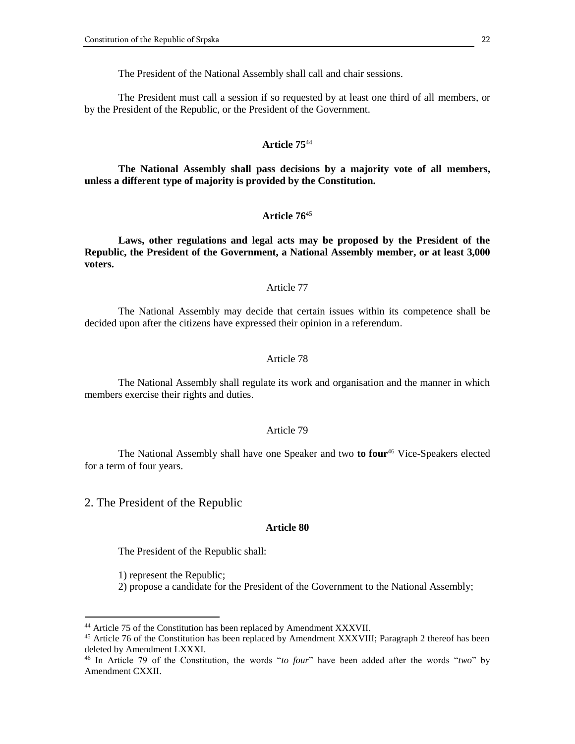The President of the National Assembly shall call and chair sessions.

The President must call a session if so requested by at least one third of all members, or by the President of the Republic, or the President of the Government.

#### **Article 75**<sup>44</sup>

**The National Assembly shall pass decisions by a majority vote of all members, unless a different type of majority is provided by the Constitution.**

# **Article 76**<sup>45</sup>

**Laws, other regulations and legal acts may be proposed by the President of the Republic, the President of the Government, a National Assembly member, or at least 3,000 voters.**

#### Article 77

The National Assembly may decide that certain issues within its competence shall be decided upon after the citizens have expressed their opinion in a referendum.

# Article 78

The National Assembly shall regulate its work and organisation and the manner in which members exercise their rights and duties.

# Article 79

The National Assembly shall have one Speaker and two **to four**<sup>46</sup> Vice-Speakers elected for a term of four years.

2. The President of the Republic

### **Article 80**

The President of the Republic shall:

1) represent the Republic;

 $\overline{a}$ 

2) propose a candidate for the President of the Government to the National Assembly;

<sup>&</sup>lt;sup>44</sup> Article 75 of the Constitution has been replaced by Amendment XXXVII.

<sup>&</sup>lt;sup>45</sup> Article 76 of the Constitution has been replaced by Amendment XXXVIII; Paragraph 2 thereof has been deleted by Amendment LXXXI.

<sup>46</sup> In Article 79 of the Constitution, the words "*to four*" have been added after the words "*two*" by Amendment CXXII.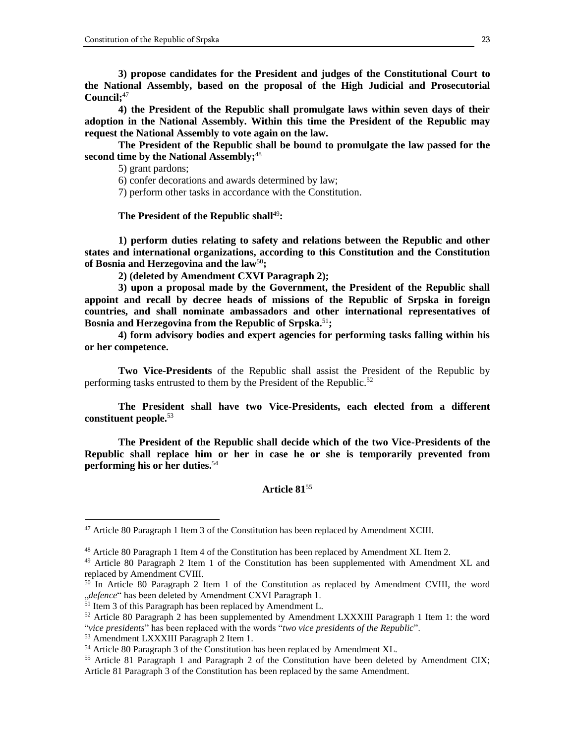**3) propose candidates for the President and judges of the Constitutional Court to the National Assembly, based on the proposal of the High Judicial and Prosecutorial Council;** 47

**4) the President of the Republic shall promulgate laws within seven days of their adoption in the National Assembly. Within this time the President of the Republic may request the National Assembly to vote again on the law.**

**The President of the Republic shall be bound to promulgate the law passed for the second time by the National Assembly;**<sup>48</sup>

5) grant pardons;

6) confer decorations and awards determined by law;

7) perform other tasks in accordance with the Constitution.

**The President of the Republic shall**<sup>49</sup>**:**

**1) perform duties relating to safety and relations between the Republic and other states and international organizations, according to this Constitution and the Constitution of Bosnia and Herzegovina and the law**<sup>50</sup>**;**

**2) (deleted by Amendment CXVI Paragraph 2);**

**3) upon a proposal made by the Government, the President of the Republic shall appoint and recall by decree heads of missions of the Republic of Srpska in foreign countries, and shall nominate ambassadors and other international representatives of Bosnia and Herzegovina from the Republic of Srpska.** 51**;**

**4) form advisory bodies and expert agencies for performing tasks falling within his or her competence.**

**Two Vice-Presidents** of the Republic shall assist the President of the Republic by performing tasks entrusted to them by the President of the Republic.<sup>52</sup>

**The President shall have two Vice-Presidents, each elected from a different constituent people.**<sup>53</sup>

**The President of the Republic shall decide which of the two Vice-Presidents of the Republic shall replace him or her in case he or she is temporarily prevented from performing his or her duties.**<sup>54</sup>

# **Article 81**<sup>55</sup>

 $47$  Article 80 Paragraph 1 Item 3 of the Constitution has been replaced by Amendment XCIII.

<sup>&</sup>lt;sup>48</sup> Article 80 Paragraph 1 Item 4 of the Constitution has been replaced by Amendment XL Item 2.

<sup>&</sup>lt;sup>49</sup> Article 80 Paragraph 2 Item 1 of the Constitution has been supplemented with Amendment XL and replaced by Amendment CVIII.

<sup>&</sup>lt;sup>50</sup> In Article 80 Paragraph 2 Item 1 of the Constitution as replaced by Amendment CVIII, the word "*defence*" has been deleted by Amendment CXVI Paragraph 1.

<sup>&</sup>lt;sup>51</sup> Item 3 of this Paragraph has been replaced by Amendment L.

<sup>52</sup> Article 80 Paragraph 2 has been supplemented by Amendment LXXXIII Paragraph 1 Item 1: the word "*vice presidents*" has been replaced with the words "*two vice presidents of the Republic*".

<sup>53</sup> Amendment LXXXIII Paragraph 2 Item 1.

<sup>54</sup> Article 80 Paragraph 3 of the Constitution has been replaced by Amendment XL.

 $55$  Article 81 Paragraph 1 and Paragraph 2 of the Constitution have been deleted by Amendment CIX; Article 81 Paragraph 3 of the Constitution has been replaced by the same Amendment.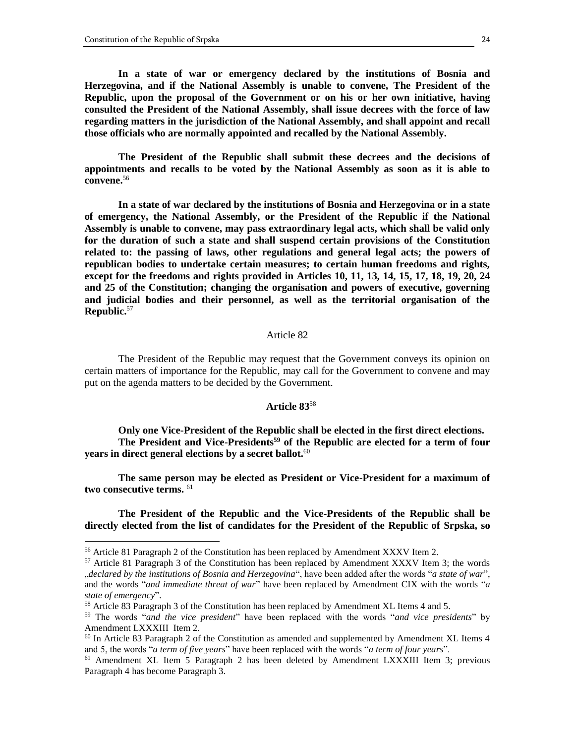$\overline{a}$ 

**In a state of war or emergency declared by the institutions of Bosnia and Herzegovina, and if the National Assembly is unable to convene, The President of the Republic, upon the proposal of the Government or on his or her own initiative, having consulted the President of the National Assembly, shall issue decrees with the force of law regarding matters in the jurisdiction of the National Assembly, and shall appoint and recall those officials who are normally appointed and recalled by the National Assembly.**

**The President of the Republic shall submit these decrees and the decisions of appointments and recalls to be voted by the National Assembly as soon as it is able to convene.**<sup>56</sup>

**In a state of war declared by the institutions of Bosnia and Herzegovina or in a state of emergency, the National Assembly, or the President of the Republic if the National Assembly is unable to convene, may pass extraordinary legal acts, which shall be valid only for the duration of such a state and shall suspend certain provisions of the Constitution related to: the passing of laws, other regulations and general legal acts; the powers of republican bodies to undertake certain measures; to certain human freedoms and rights, except for the freedoms and rights provided in Articles 10, 11, 13, 14, 15, 17, 18, 19, 20, 24 and 25 of the Constitution; changing the organisation and powers of executive, governing and judicial bodies and their personnel, as well as the territorial organisation of the Republic.**<sup>57</sup>

#### Article 82

The President of the Republic may request that the Government conveys its opinion on certain matters of importance for the Republic, may call for the Government to convene and may put on the agenda matters to be decided by the Government.

# **Article 83**<sup>58</sup>

**Only one Vice-President of the Republic shall be elected in the first direct elections. The President and Vice-Presidents<sup>59</sup> of the Republic are elected for a term of four years in direct general elections by a secret ballot.**<sup>60</sup>

**The same person may be elected as President or Vice-President for a maximum of two consecutive terms.** <sup>61</sup>

**The President of the Republic and the Vice-Presidents of the Republic shall be directly elected from the list of candidates for the President of the Republic of Srpska, so** 

<sup>56</sup> Article 81 Paragraph 2 of the Constitution has been replaced by Amendment XXXV Item 2.

 $57$  Article 81 Paragraph 3 of the Constitution has been replaced by Amendment XXXV Item 3; the words "*declared by the institutions of Bosnia and Herzegovina*", have been added after the words "*a state of war*", and the words "*and immediate threat of war*" have been replaced by Amendment CIX with the words "*a state of emergency*".

 $58$  Article 83 Paragraph 3 of the Constitution has been replaced by Amendment XL Items 4 and 5.

<sup>59</sup> The words "*and the vice president*" have been replaced with the words "*and vice presidents*" by Amendment LXXXIII Item 2.

 $60$  In Article 83 Paragraph 2 of the Constitution as amended and supplemented by Amendment XL Items 4 and 5, the words "*a term of five years*" have been replaced with the words "*a term of four years*".

<sup>61</sup> Amendment XL Item 5 Paragraph 2 has been deleted by Amendment LXXXIII Item 3; previous Paragraph 4 has become Paragraph 3.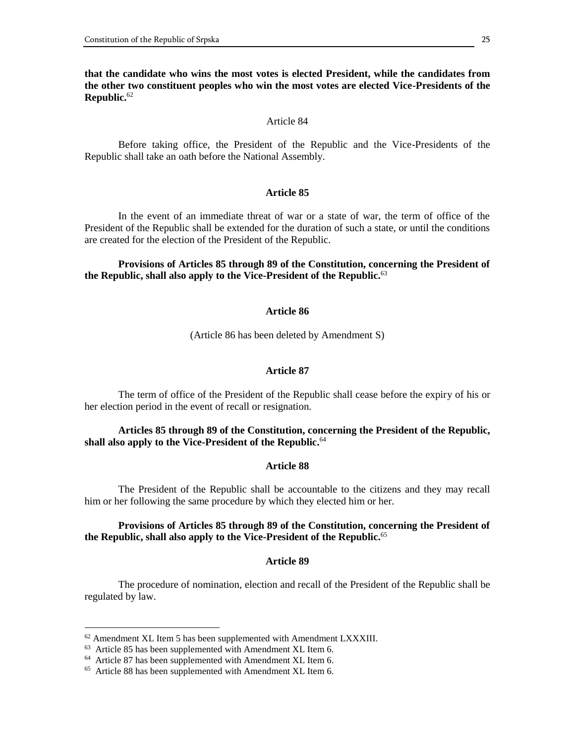**that the candidate who wins the most votes is elected President, while the candidates from the other two constituent peoples who win the most votes are elected Vice-Presidents of the Republic.**<sup>62</sup>

#### Article 84

Before taking office, the President of the Republic and the Vice-Presidents of the Republic shall take an oath before the National Assembly.

# **Article 85**

In the event of an immediate threat of war or a state of war, the term of office of the President of the Republic shall be extended for the duration of such a state, or until the conditions are created for the election of the President of the Republic.

# **Provisions of Articles 85 through 89 of the Constitution, concerning the President of the Republic, shall also apply to the Vice-President of the Republic.**<sup>63</sup>

#### **Article 86**

(Article 86 has been deleted by Amendment S)

#### **Article 87**

The term of office of the President of the Republic shall cease before the expiry of his or her election period in the event of recall or resignation.

# **Articles 85 through 89 of the Constitution, concerning the President of the Republic, shall also apply to the Vice-President of the Republic.**<sup>64</sup>

#### **Article 88**

The President of the Republic shall be accountable to the citizens and they may recall him or her following the same procedure by which they elected him or her.

# **Provisions of Articles 85 through 89 of the Constitution, concerning the President of the Republic, shall also apply to the Vice-President of the Republic.**<sup>65</sup>

#### **Article 89**

The procedure of nomination, election and recall of the President of the Republic shall be regulated by law.

 $62$  Amendment XL Item 5 has been supplemented with Amendment LXXXIII.

<sup>&</sup>lt;sup>63</sup> Article 85 has been supplemented with Amendment XL Item 6.

<sup>64</sup> Article 87 has been supplemented with Amendment XL Item 6.

<sup>&</sup>lt;sup>65</sup> Article 88 has been supplemented with Amendment XL Item 6.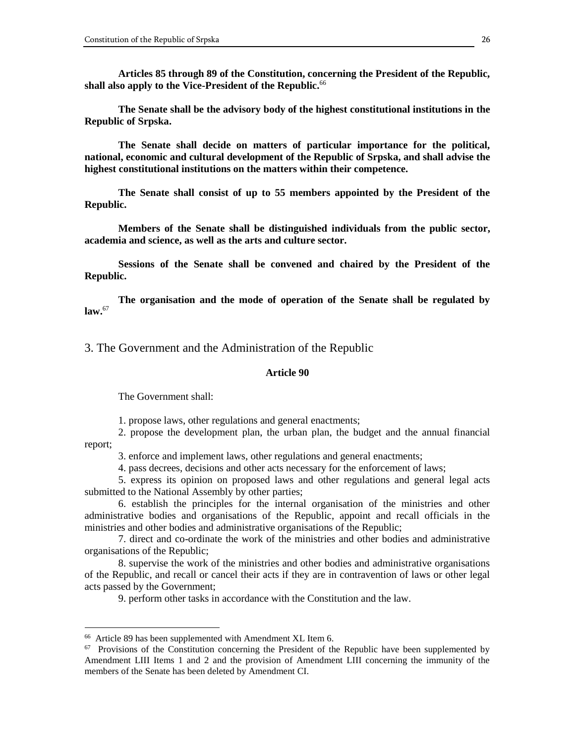**Articles 85 through 89 of the Constitution, concerning the President of the Republic, shall also apply to the Vice-President of the Republic.**<sup>66</sup>

**The Senate shall be the advisory body of the highest constitutional institutions in the Republic of Srpska.**

**The Senate shall decide on matters of particular importance for the political, national, economic and cultural development of the Republic of Srpska, and shall advise the highest constitutional institutions on the matters within their competence.**

**The Senate shall consist of up to 55 members appointed by the President of the Republic.**

**Members of the Senate shall be distinguished individuals from the public sector, academia and science, as well as the arts and culture sector.**

**Sessions of the Senate shall be convened and chaired by the President of the Republic.**

**The organisation and the mode of operation of the Senate shall be regulated by law.**<sup>67</sup>

3. The Government and the Administration of the Republic

### **Article 90**

The Government shall:

1. propose laws, other regulations and general enactments;

2. propose the development plan, the urban plan, the budget and the annual financial report;

3. enforce and implement laws, other regulations and general enactments;

4. pass decrees, decisions and other acts necessary for the enforcement of laws;

5. express its opinion on proposed laws and other regulations and general legal acts submitted to the National Assembly by other parties;

6. establish the principles for the internal organisation of the ministries and other administrative bodies and organisations of the Republic, appoint and recall officials in the ministries and other bodies and administrative organisations of the Republic;

7. direct and co-ordinate the work of the ministries and other bodies and administrative organisations of the Republic;

8. supervise the work of the ministries and other bodies and administrative organisations of the Republic, and recall or cancel their acts if they are in contravention of laws or other legal acts passed by the Government;

9. perform other tasks in accordance with the Constitution and the law.

<sup>66</sup> Article 89 has been supplemented with Amendment XL Item 6.

<sup>&</sup>lt;sup>67</sup> Provisions of the Constitution concerning the President of the Republic have been supplemented by Amendment LIII Items 1 and 2 and the provision of Amendment LIII concerning the immunity of the members of the Senate has been deleted by Amendment CI.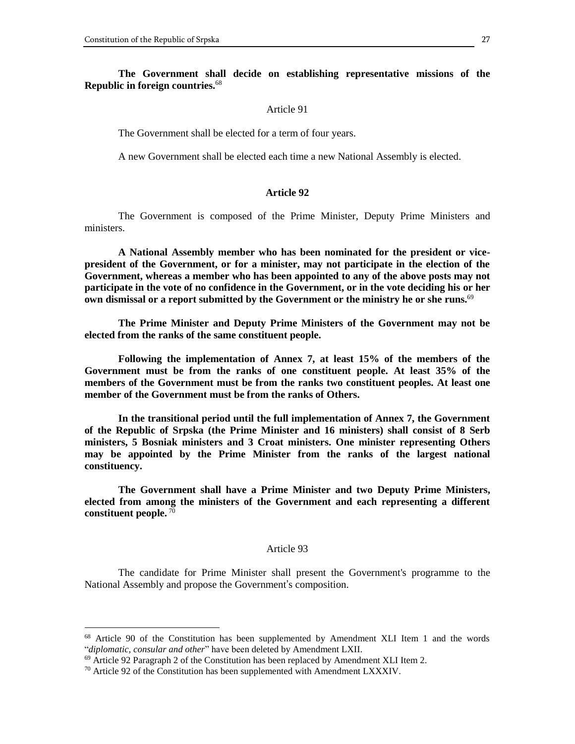### **The Government shall decide on establishing representative missions of the Republic in foreign countries.**<sup>68</sup>

#### Article 91

The Government shall be elected for a term of four years.

A new Government shall be elected each time a new National Assembly is elected.

# **Article 92**

The Government is composed of the Prime Minister, Deputy Prime Ministers and ministers.

**A National Assembly member who has been nominated for the president or vicepresident of the Government, or for a minister, may not participate in the election of the Government, whereas a member who has been appointed to any of the above posts may not participate in the vote of no confidence in the Government, or in the vote deciding his or her own dismissal or a report submitted by the Government or the ministry he or she runs.**<sup>69</sup>

**The Prime Minister and Deputy Prime Ministers of the Government may not be elected from the ranks of the same constituent people.**

**Following the implementation of Annex 7, at least 15% of the members of the Government must be from the ranks of one constituent people. At least 35% of the members of the Government must be from the ranks two constituent peoples. At least one member of the Government must be from the ranks of Others.**

**In the transitional period until the full implementation of Annex 7, the Government of the Republic of Srpska (the Prime Minister and 16 ministers) shall consist of 8 Serb ministers, 5 Bosniak ministers and 3 Croat ministers. One minister representing Others may be appointed by the Prime Minister from the ranks of the largest national constituency.**

**The Government shall have a Prime Minister and two Deputy Prime Ministers, elected from among the ministers of the Government and each representing a different constituent people.** <sup>70</sup>

#### Article 93

The candidate for Prime Minister shall present the Government's programme to the National Assembly and propose the Government's composition.

<sup>&</sup>lt;sup>68</sup> Article 90 of the Constitution has been supplemented by Amendment XLI Item 1 and the words "*diplomatic, consular and other*" have been deleted by Amendment LXII.

 $69$  Article 92 Paragraph 2 of the Constitution has been replaced by Amendment XLI Item 2.

 $70$  Article 92 of the Constitution has been supplemented with Amendment LXXXIV.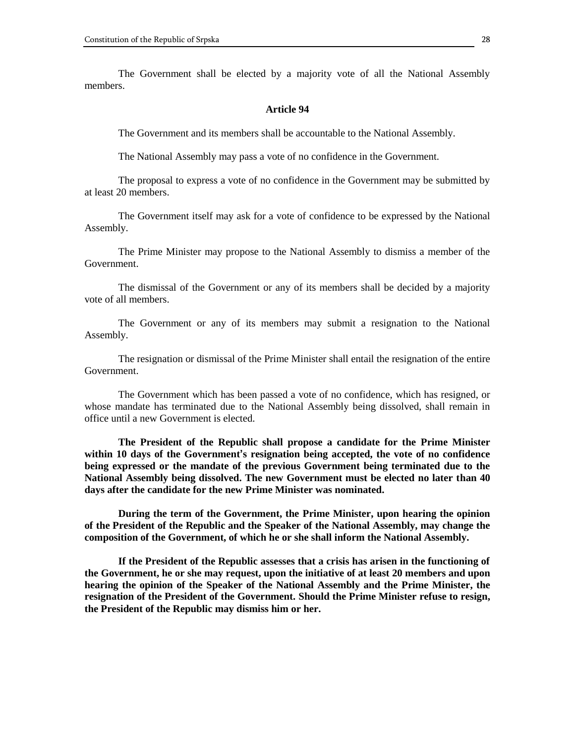The Government shall be elected by a majority vote of all the National Assembly members.

#### **Article 94**

The Government and its members shall be accountable to the National Assembly.

The National Assembly may pass a vote of no confidence in the Government.

The proposal to express a vote of no confidence in the Government may be submitted by at least 20 members.

The Government itself may ask for a vote of confidence to be expressed by the National Assembly.

The Prime Minister may propose to the National Assembly to dismiss a member of the Government.

The dismissal of the Government or any of its members shall be decided by a majority vote of all members.

The Government or any of its members may submit a resignation to the National Assembly.

The resignation or dismissal of the Prime Minister shall entail the resignation of the entire Government.

The Government which has been passed a vote of no confidence, which has resigned, or whose mandate has terminated due to the National Assembly being dissolved, shall remain in office until a new Government is elected.

**The President of the Republic shall propose a candidate for the Prime Minister within 10 days of the Government's resignation being accepted, the vote of no confidence being expressed or the mandate of the previous Government being terminated due to the National Assembly being dissolved. The new Government must be elected no later than 40 days after the candidate for the new Prime Minister was nominated.**

**During the term of the Government, the Prime Minister, upon hearing the opinion of the President of the Republic and the Speaker of the National Assembly, may change the composition of the Government, of which he or she shall inform the National Assembly.**

**If the President of the Republic assesses that a crisis has arisen in the functioning of the Government, he or she may request, upon the initiative of at least 20 members and upon hearing the opinion of the Speaker of the National Assembly and the Prime Minister, the resignation of the President of the Government. Should the Prime Minister refuse to resign, the President of the Republic may dismiss him or her.**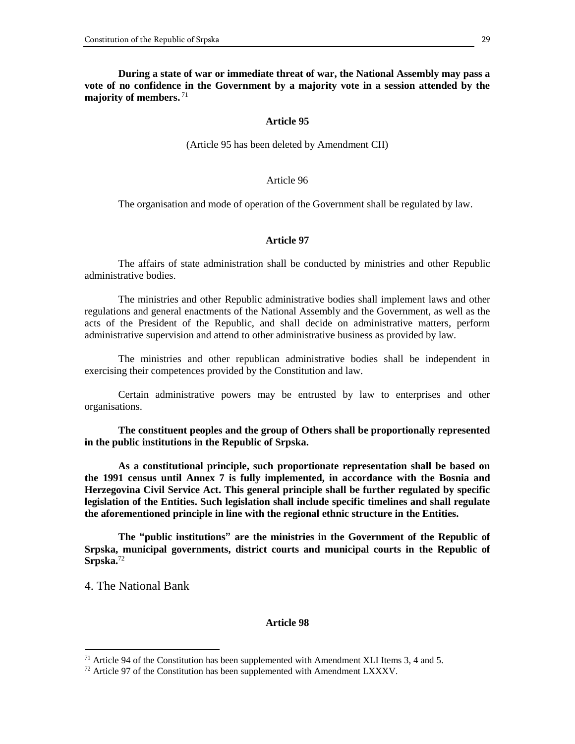**During a state of war or immediate threat of war, the National Assembly may pass a vote of no confidence in the Government by a majority vote in a session attended by the majority of members.** 71

#### **Article 95**

(Article 95 has been deleted by Amendment CII)

# Article 96

The organisation and mode of operation of the Government shall be regulated by law.

### **Article 97**

The affairs of state administration shall be conducted by ministries and other Republic administrative bodies.

The ministries and other Republic administrative bodies shall implement laws and other regulations and general enactments of the National Assembly and the Government, as well as the acts of the President of the Republic, and shall decide on administrative matters, perform administrative supervision and attend to other administrative business as provided by law.

The ministries and other republican administrative bodies shall be independent in exercising their competences provided by the Constitution and law.

Certain administrative powers may be entrusted by law to enterprises and other organisations.

**The constituent peoples and the group of Others shall be proportionally represented in the public institutions in the Republic of Srpska.**

**As a constitutional principle, such proportionate representation shall be based on the 1991 census until Annex 7 is fully implemented, in accordance with the Bosnia and Herzegovina Civil Service Act. This general principle shall be further regulated by specific legislation of the Entities. Such legislation shall include specific timelines and shall regulate the aforementioned principle in line with the regional ethnic structure in the Entities.**

**The "public institutions" are the ministries in the Government of the Republic of Srpska, municipal governments, district courts and municipal courts in the Republic of Srpska.** 72

4. The National Bank

 $\overline{a}$ 

#### **Article 98**

<sup>&</sup>lt;sup>71</sup> Article 94 of the Constitution has been supplemented with Amendment XLI Items 3, 4 and 5.

 $72$  Article 97 of the Constitution has been supplemented with Amendment LXXXV.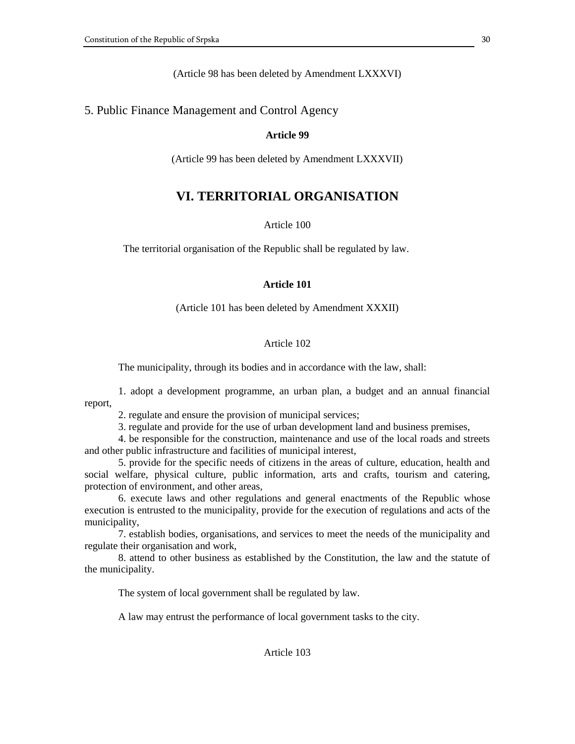(Article 98 has been deleted by Amendment LXXXVI)

# 5. Public Finance Management and Control Agency

# **Article 99**

(Article 99 has been deleted by Amendment LXXXVII)

# **VI. TERRITORIAL ORGANISATION**

# Article 100

The territorial organisation of the Republic shall be regulated by law.

# **Article 101**

(Article 101 has been deleted by Amendment XXXII)

# Article 102

The municipality, through its bodies and in accordance with the law, shall:

1. adopt a development programme, an urban plan, a budget and an annual financial report,

2. regulate and ensure the provision of municipal services;

3. regulate and provide for the use of urban development land and business premises,

4. be responsible for the construction, maintenance and use of the local roads and streets and other public infrastructure and facilities of municipal interest,

5. provide for the specific needs of citizens in the areas of culture, education, health and social welfare, physical culture, public information, arts and crafts, tourism and catering, protection of environment, and other areas,

6. execute laws and other regulations and general enactments of the Republic whose execution is entrusted to the municipality, provide for the execution of regulations and acts of the municipality,

7. establish bodies, organisations, and services to meet the needs of the municipality and regulate their organisation and work,

8. attend to other business as established by the Constitution, the law and the statute of the municipality.

The system of local government shall be regulated by law.

A law may entrust the performance of local government tasks to the city.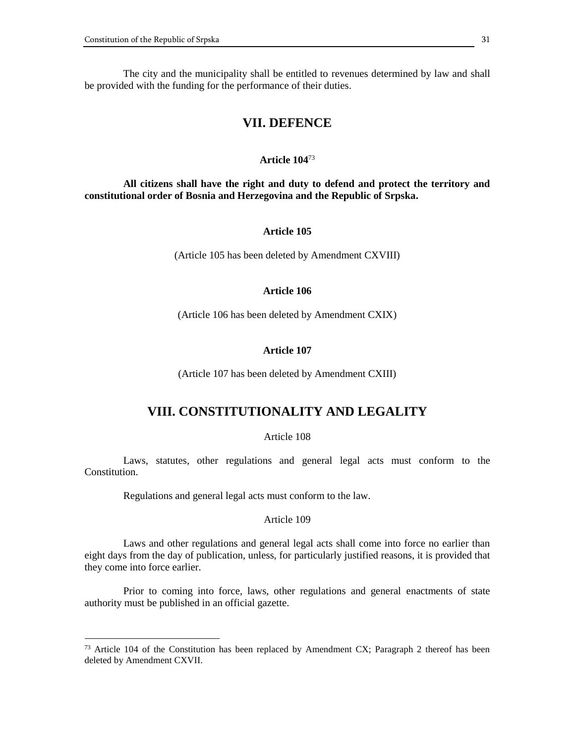$\overline{a}$ 

 The city and the municipality shall be entitled to revenues determined by law and shall be provided with the funding for the performance of their duties.

# **VII. DEFENCE**

#### **Article 104**<sup>73</sup>

 **All citizens shall have the right and duty to defend and protect the territory and constitutional order of Bosnia and Herzegovina and the Republic of Srpska.**

# **Article 105**

(Article 105 has been deleted by Amendment CXVIII)

# **Article 106**

(Article 106 has been deleted by Amendment CXIX)

#### **Article 107**

(Article 107 has been deleted by Amendment CXIII)

# **VIII. CONSTITUTIONALITY AND LEGALITY**

#### Article 108

 Laws, statutes, other regulations and general legal acts must conform to the Constitution.

Regulations and general legal acts must conform to the law.

#### Article 109

 Laws and other regulations and general legal acts shall come into force no earlier than eight days from the day of publication, unless, for particularly justified reasons, it is provided that they come into force earlier.

 Prior to coming into force, laws, other regulations and general enactments of state authority must be published in an official gazette.

 $73$  Article 104 of the Constitution has been replaced by Amendment CX; Paragraph 2 thereof has been deleted by Amendment CXVII.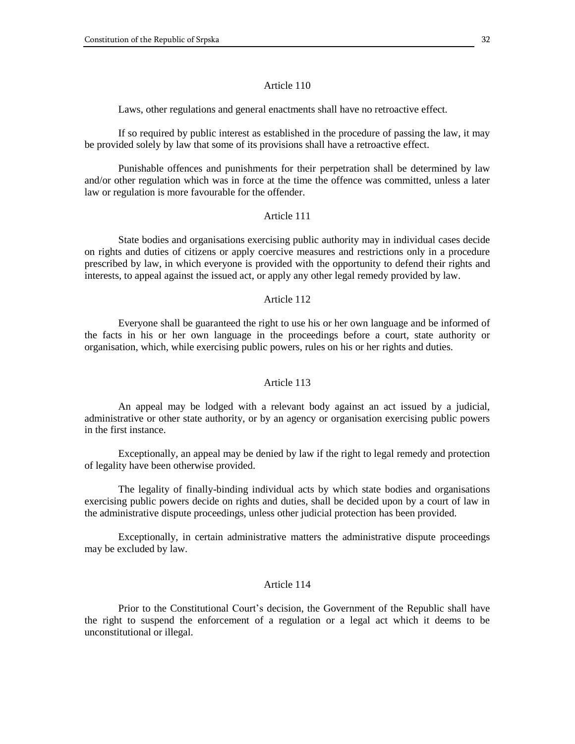Laws, other regulations and general enactments shall have no retroactive effect.

If so required by public interest as established in the procedure of passing the law, it may be provided solely by law that some of its provisions shall have a retroactive effect.

Punishable offences and punishments for their perpetration shall be determined by law and/or other regulation which was in force at the time the offence was committed, unless a later law or regulation is more favourable for the offender.

#### Article 111

State bodies and organisations exercising public authority may in individual cases decide on rights and duties of citizens or apply coercive measures and restrictions only in a procedure prescribed by law, in which everyone is provided with the opportunity to defend their rights and interests, to appeal against the issued act, or apply any other legal remedy provided by law.

# Article 112

Everyone shall be guaranteed the right to use his or her own language and be informed of the facts in his or her own language in the proceedings before a court, state authority or organisation, which, while exercising public powers, rules on his or her rights and duties.

# Article 113

An appeal may be lodged with a relevant body against an act issued by a judicial, administrative or other state authority, or by an agency or organisation exercising public powers in the first instance.

Exceptionally, an appeal may be denied by law if the right to legal remedy and protection of legality have been otherwise provided.

The legality of finally-binding individual acts by which state bodies and organisations exercising public powers decide on rights and duties, shall be decided upon by a court of law in the administrative dispute proceedings, unless other judicial protection has been provided.

Exceptionally, in certain administrative matters the administrative dispute proceedings may be excluded by law.

#### Article 114

Prior to the Constitutional Court's decision, the Government of the Republic shall have the right to suspend the enforcement of a regulation or a legal act which it deems to be unconstitutional or illegal.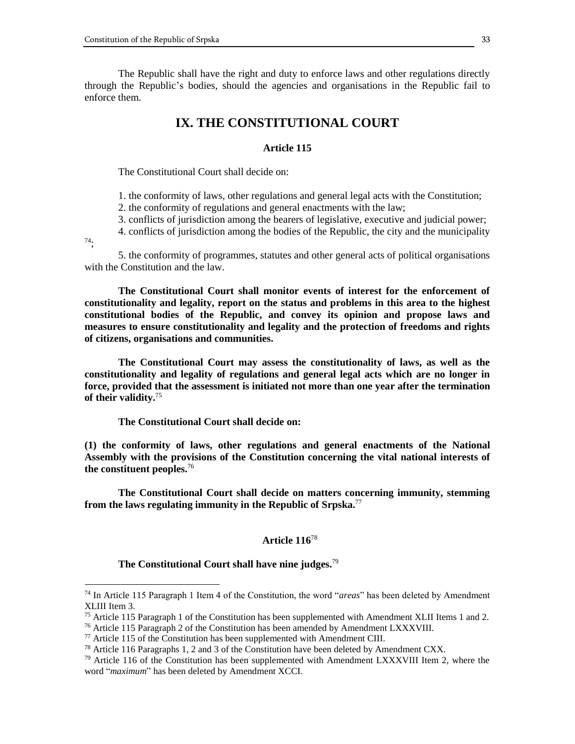The Republic shall have the right and duty to enforce laws and other regulations directly through the Republic's bodies, should the agencies and organisations in the Republic fail to enforce them.

# **IX. THE CONSTITUTIONAL COURT**

#### **Article 115**

The Constitutional Court shall decide on:

1. the conformity of laws, other regulations and general legal acts with the Constitution;

2. the conformity of regulations and general enactments with the law;

3. conflicts of jurisdiction among the bearers of legislative, executive and judicial power;

4. conflicts of jurisdiction among the bodies of the Republic, the city and the municipality

74;

 $\overline{a}$ 

5. the conformity of programmes, statutes and other general acts of political organisations with the Constitution and the law.

**The Constitutional Court shall monitor events of interest for the enforcement of constitutionality and legality, report on the status and problems in this area to the highest constitutional bodies of the Republic, and convey its opinion and propose laws and measures to ensure constitutionality and legality and the protection of freedoms and rights of citizens, organisations and communities.**

**The Constitutional Court may assess the constitutionality of laws, as well as the constitutionality and legality of regulations and general legal acts which are no longer in force, provided that the assessment is initiated not more than one year after the termination of their validity.**<sup>75</sup>

**The Constitutional Court shall decide on:**

**(1) the conformity of laws, other regulations and general enactments of the National Assembly with the provisions of the Constitution concerning the vital national interests of the constituent peoples.**<sup>76</sup>

**The Constitutional Court shall decide on matters concerning immunity, stemming from the laws regulating immunity in the Republic of Srpska.** 77

# **Article 116**<sup>78</sup>

**The Constitutional Court shall have nine judges.**<sup>79</sup>

<sup>74</sup> In Article 115 Paragraph 1 Item 4 of the Constitution, the word "*areas*" has been deleted by Amendment XLIII Item 3.

 $75$  Article 115 Paragraph 1 of the Constitution has been supplemented with Amendment XLII Items 1 and 2.

<sup>&</sup>lt;sup>76</sup> Article 115 Paragraph 2 of the Constitution has been amended by Amendment LXXXVIII.

 $77$  Article 115 of the Constitution has been supplemented with Amendment CIII.

 $^{78}$  Article 116 Paragraphs 1, 2 and 3 of the Constitution have been deleted by Amendment CXX.

<sup>&</sup>lt;sup>79</sup> Article 116 of the Constitution has been supplemented with Amendment LXXXVIII Item 2, where the word "*maximum*" has been deleted by Amendment XCCI.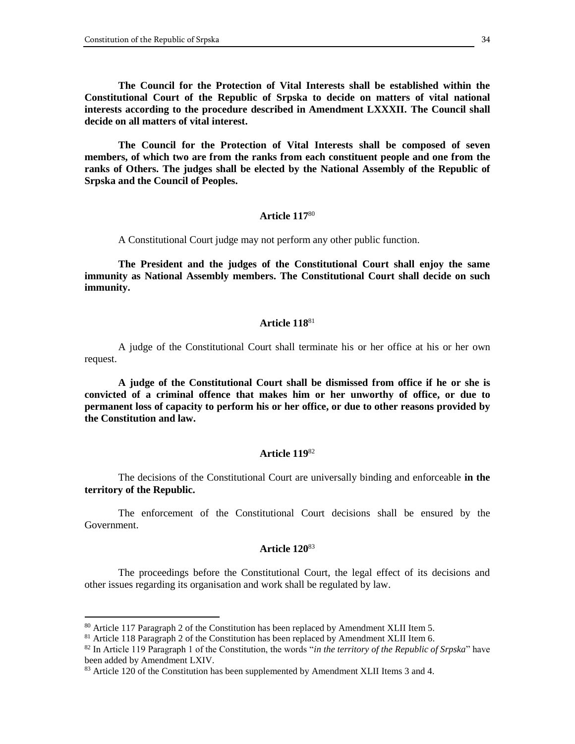**The Council for the Protection of Vital Interests shall be established within the Constitutional Court of the Republic of Srpska to decide on matters of vital national interests according to the procedure described in Amendment LXXXII. The Council shall decide on all matters of vital interest.**

**The Council for the Protection of Vital Interests shall be composed of seven members, of which two are from the ranks from each constituent people and one from the ranks of Others. The judges shall be elected by the National Assembly of the Republic of Srpska and the Council of Peoples.**

# **Article 117**<sup>80</sup>

A Constitutional Court judge may not perform any other public function.

**The President and the judges of the Constitutional Court shall enjoy the same immunity as National Assembly members. The Constitutional Court shall decide on such immunity.**

# **Article 118**<sup>81</sup>

A judge of the Constitutional Court shall terminate his or her office at his or her own request.

**A judge of the Constitutional Court shall be dismissed from office if he or she is convicted of a criminal offence that makes him or her unworthy of office, or due to permanent loss of capacity to perform his or her office, or due to other reasons provided by the Constitution and law.**

#### **Article 119**<sup>82</sup>

The decisions of the Constitutional Court are universally binding and enforceable **in the territory of the Republic.**

The enforcement of the Constitutional Court decisions shall be ensured by the Government.

### **Article 120**<sup>83</sup>

The proceedings before the Constitutional Court, the legal effect of its decisions and other issues regarding its organisation and work shall be regulated by law.

<sup>80</sup> Article 117 Paragraph 2 of the Constitution has been replaced by Amendment XLII Item 5.

<sup>&</sup>lt;sup>81</sup> Article 118 Paragraph 2 of the Constitution has been replaced by Amendment XLII Item 6.

<sup>82</sup> In Article 119 Paragraph 1 of the Constitution, the words "*in the territory of the Republic of Srpska*" have been added by Amendment LXIV.

<sup>&</sup>lt;sup>83</sup> Article 120 of the Constitution has been supplemented by Amendment XLII Items 3 and 4.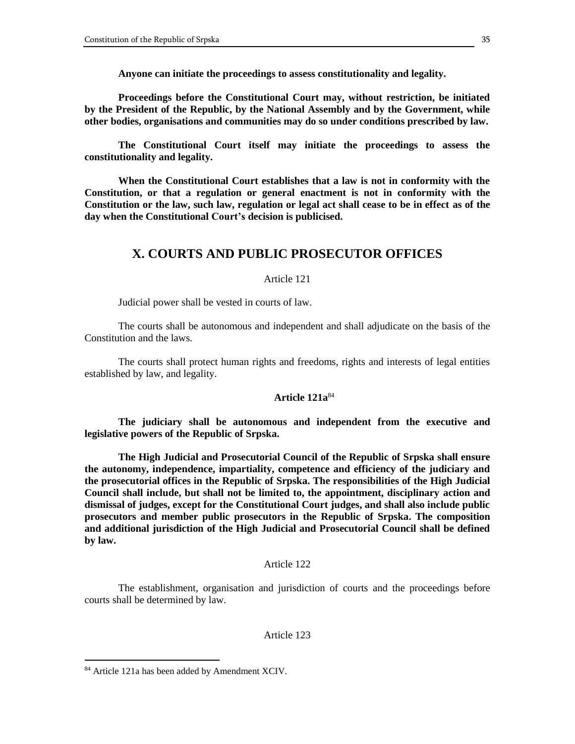**Anyone can initiate the proceedings to assess constitutionality and legality.**

**Proceedings before the Constitutional Court may, without restriction, be initiated by the President of the Republic, by the National Assembly and by the Government, while other bodies, organisations and communities may do so under conditions prescribed by law.**

**The Constitutional Court itself may initiate the proceedings to assess the constitutionality and legality.**

**When the Constitutional Court establishes that a law is not in conformity with the Constitution, or that a regulation or general enactment is not in conformity with the Constitution or the law, such law, regulation or legal act shall cease to be in effect as of the day when the Constitutional Court's decision is publicised.**

# **X. COURTS AND PUBLIC PROSECUTOR OFFICES**

# Article 121

Judicial power shall be vested in courts of law.

The courts shall be autonomous and independent and shall adjudicate on the basis of the Constitution and the laws.

The courts shall protect human rights and freedoms, rights and interests of legal entities established by law, and legality.

### **Article 121a**<sup>84</sup>

**The judiciary shall be autonomous and independent from the executive and legislative powers of the Republic of Srpska.**

**The High Judicial and Prosecutorial Council of the Republic of Srpska shall ensure the autonomy, independence, impartiality, competence and efficiency of the judiciary and the prosecutorial offices in the Republic of Srpska. The responsibilities of the High Judicial Council shall include, but shall not be limited to, the appointment, disciplinary action and dismissal of judges, except for the Constitutional Court judges, and shall also include public prosecutors and member public prosecutors in the Republic of Srpska. The composition and additional jurisdiction of the High Judicial and Prosecutorial Council shall be defined by law.**

# Article 122

The establishment, organisation and jurisdiction of courts and the proceedings before courts shall be determined by law.

# Article 123

<sup>84</sup> Article 121a has been added by Amendment XCIV.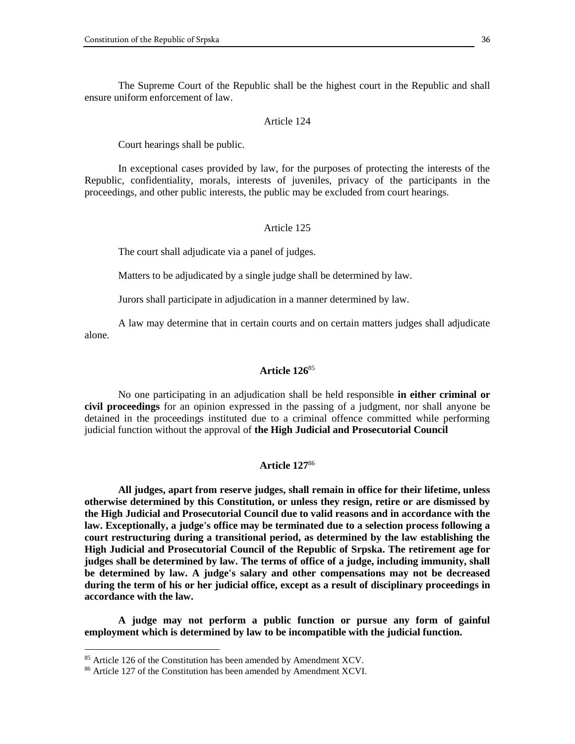The Supreme Court of the Republic shall be the highest court in the Republic and shall ensure uniform enforcement of law.

#### Article 124

Court hearings shall be public.

In exceptional cases provided by law, for the purposes of protecting the interests of the Republic, confidentiality, morals, interests of juveniles, privacy of the participants in the proceedings, and other public interests, the public may be excluded from court hearings.

#### Article 125

The court shall adjudicate via a panel of judges.

Matters to be adjudicated by a single judge shall be determined by law.

Jurors shall participate in adjudication in a manner determined by law.

A law may determine that in certain courts and on certain matters judges shall adjudicate alone.

### **Article 126**<sup>85</sup>

No one participating in an adjudication shall be held responsible **in either criminal or civil proceedings** for an opinion expressed in the passing of a judgment, nor shall anyone be detained in the proceedings instituted due to a criminal offence committed while performing judicial function without the approval of **the High Judicial and Prosecutorial Council**

### **Article 127**<sup>86</sup>

**All judges, apart from reserve judges, shall remain in office for their lifetime, unless otherwise determined by this Constitution, or unless they resign, retire or are dismissed by the High Judicial and Prosecutorial Council due to valid reasons and in accordance with the law. Exceptionally, a judge's office may be terminated due to a selection process following a court restructuring during a transitional period, as determined by the law establishing the High Judicial and Prosecutorial Council of the Republic of Srpska. The retirement age for judges shall be determined by law. The terms of office of a judge, including immunity, shall be determined by law. A judge's salary and other compensations may not be decreased during the term of his or her judicial office, except as a result of disciplinary proceedings in accordance with the law.**

**A judge may not perform a public function or pursue any form of gainful employment which is determined by law to be incompatible with the judicial function.**

<sup>&</sup>lt;sup>85</sup> Article 126 of the Constitution has been amended by Amendment XCV.

<sup>86</sup> Article 127 of the Constitution has been amended by Amendment XCVI.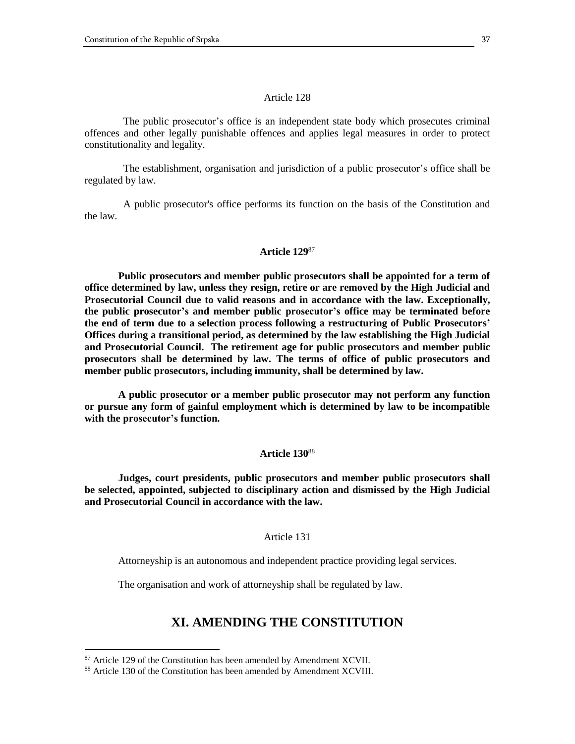The public prosecutor's office is an independent state body which prosecutes criminal offences and other legally punishable offences and applies legal measures in order to protect constitutionality and legality.

 The establishment, organisation and jurisdiction of a public prosecutor's office shall be regulated by law.

 A public prosecutor's office performs its function on the basis of the Constitution and the law.

#### **Article 129**<sup>87</sup>

**Public prosecutors and member public prosecutors shall be appointed for a term of office determined by law, unless they resign, retire or are removed by the High Judicial and Prosecutorial Council due to valid reasons and in accordance with the law. Exceptionally, the public prosecutor's and member public prosecutor's office may be terminated before the end of term due to a selection process following a restructuring of Public Prosecutors' Offices during a transitional period, as determined by the law establishing the High Judicial and Prosecutorial Council. The retirement age for public prosecutors and member public prosecutors shall be determined by law. The terms of office of public prosecutors and member public prosecutors, including immunity, shall be determined by law.**

**A public prosecutor or a member public prosecutor may not perform any function or pursue any form of gainful employment which is determined by law to be incompatible with the prosecutor's function.**

#### **Article 130**<sup>88</sup>

**Judges, court presidents, public prosecutors and member public prosecutors shall be selected, appointed, subjected to disciplinary action and dismissed by the High Judicial and Prosecutorial Council in accordance with the law.**

# Article 131

Attorneyship is an autonomous and independent practice providing legal services.

The organisation and work of attorneyship shall be regulated by law.

# **XI. AMENDING THE CONSTITUTION**

<sup>&</sup>lt;sup>87</sup> Article 129 of the Constitution has been amended by Amendment XCVII.

<sup>88</sup> Article 130 of the Constitution has been amended by Amendment XCVIII.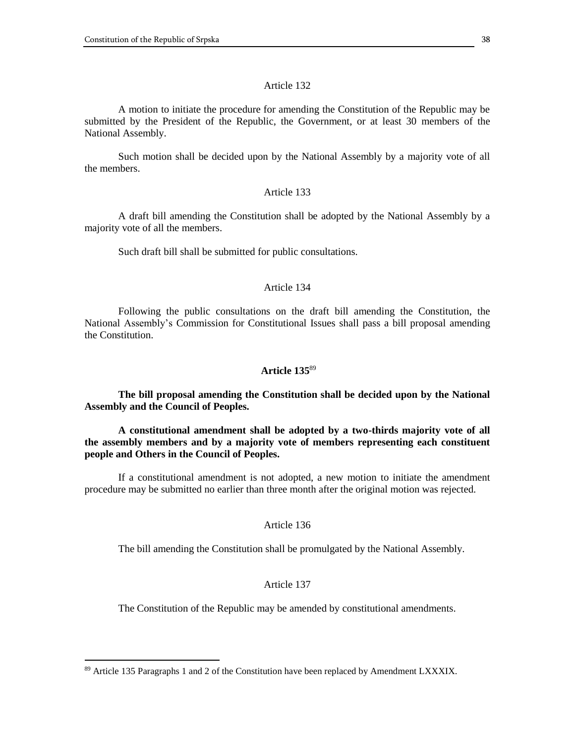A motion to initiate the procedure for amending the Constitution of the Republic may be submitted by the President of the Republic, the Government, or at least 30 members of the National Assembly.

Such motion shall be decided upon by the National Assembly by a majority vote of all the members.

### Article 133

A draft bill amending the Constitution shall be adopted by the National Assembly by a majority vote of all the members.

Such draft bill shall be submitted for public consultations.

#### Article 134

Following the public consultations on the draft bill amending the Constitution, the National Assembly's Commission for Constitutional Issues shall pass a bill proposal amending the Constitution.

#### **Article 135**<sup>89</sup>

**The bill proposal amending the Constitution shall be decided upon by the National Assembly and the Council of Peoples.**

**A constitutional amendment shall be adopted by a two-thirds majority vote of all the assembly members and by a majority vote of members representing each constituent people and Others in the Council of Peoples.**

If a constitutional amendment is not adopted, a new motion to initiate the amendment procedure may be submitted no earlier than three month after the original motion was rejected.

#### Article 136

The bill amending the Constitution shall be promulgated by the National Assembly.

### Article 137

The Constitution of the Republic may be amended by constitutional amendments.

<sup>89</sup> Article 135 Paragraphs 1 and 2 of the Constitution have been replaced by Amendment LXXXIX.